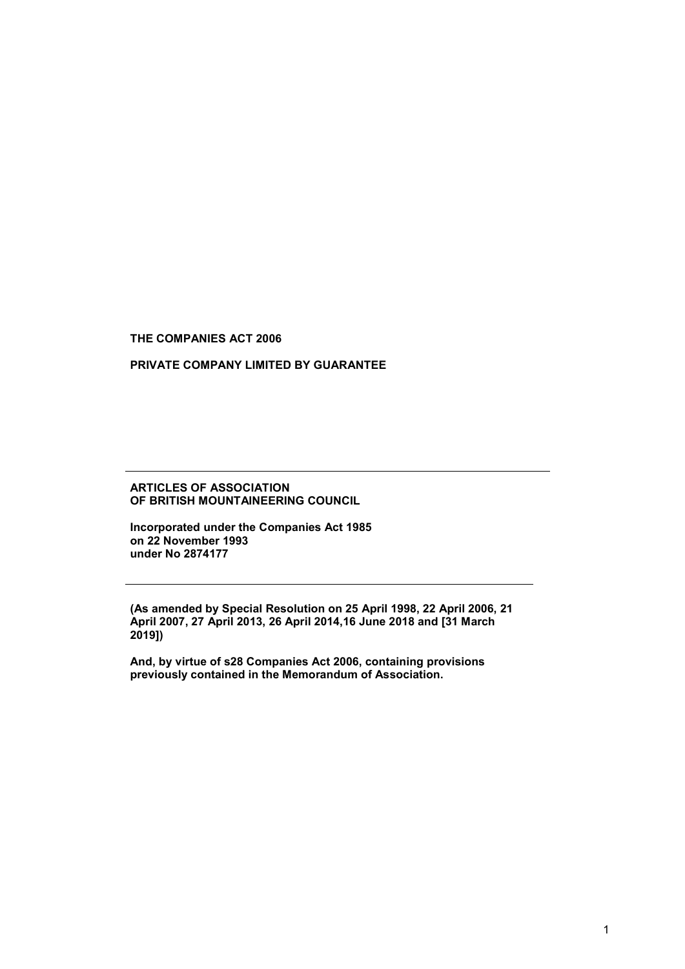THE COMPANIES ACT 2006

## PRIVATE COMPANY LIMITED BY GUARANTEE

#### ARTICLES OF ASSOCIATION OF BRITISH MOUNTAINEERING COUNCIL

Incorporated under the Companies Act 1985 on 22 November 1993 under No 2874177

(As amended by Special Resolution on 25 April 1998, 22 April 2006, 21 April 2007, 27 April 2013, 26 April 2014,16 June 2018 and [31 March 2019])

And, by virtue of s28 Companies Act 2006, containing provisions previously contained in the Memorandum of Association.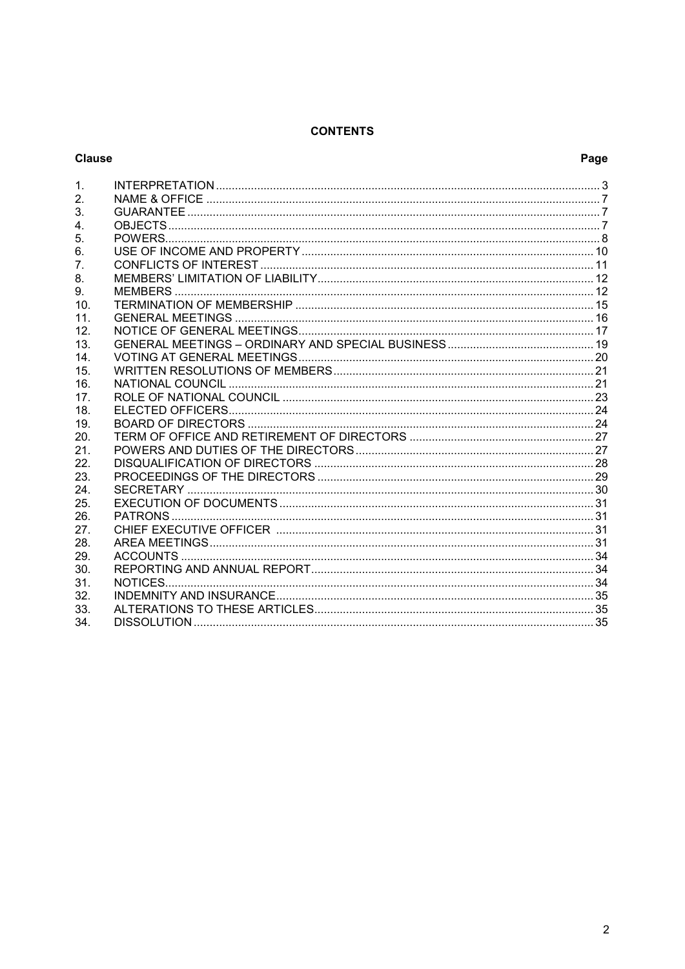# **CONTENTS**

## **Clause**

# Page

| 2.  |  |
|-----|--|
| 3.  |  |
| 4.  |  |
| 5.  |  |
| 6.  |  |
| 7.  |  |
| 8.  |  |
| 9.  |  |
| 10. |  |
| 11. |  |
| 12. |  |
| 13. |  |
| 14. |  |
| 15. |  |
| 16. |  |
| 17. |  |
| 18. |  |
| 19. |  |
| 20. |  |
| 21. |  |
| 22. |  |
| 23. |  |
| 24. |  |
| 25. |  |
| 26. |  |
| 27. |  |
| 28. |  |
| 29. |  |
| 30. |  |
| 31. |  |
| 32. |  |
| 33. |  |
| 34. |  |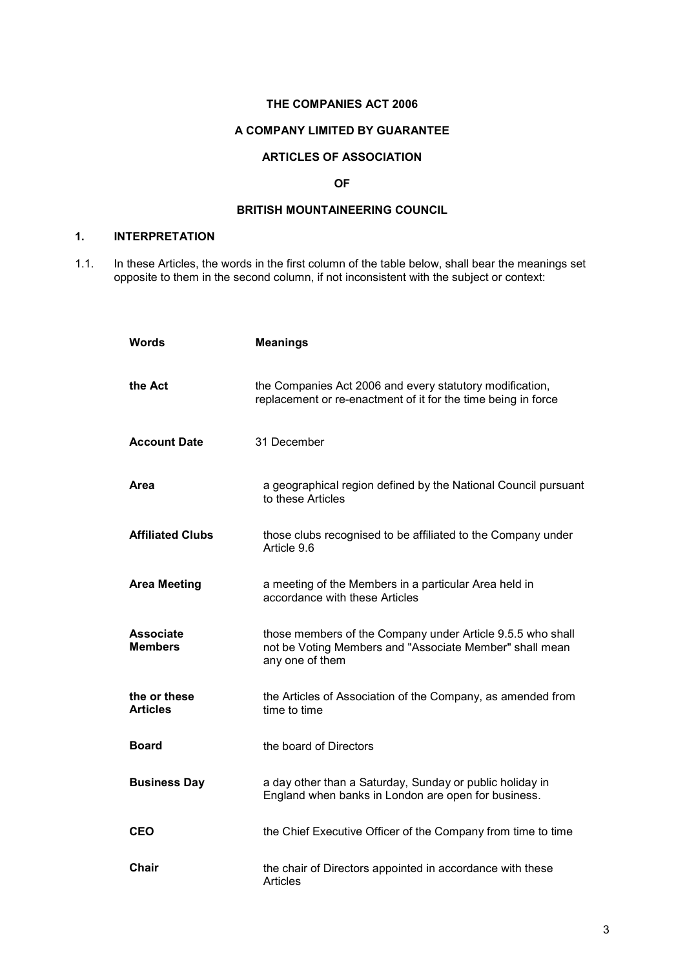#### THE COMPANIES ACT 2006

## A COMPANY LIMITED BY GUARANTEE

# ARTICLES OF ASSOCIATION

## OF

# BRITISH MOUNTAINEERING COUNCIL

# 1. INTERPRETATION

1.1. In these Articles, the words in the first column of the table below, shall bear the meanings set opposite to them in the second column, if not inconsistent with the subject or context:

| Words                              | <b>Meanings</b>                                                                                                                          |
|------------------------------------|------------------------------------------------------------------------------------------------------------------------------------------|
| the Act                            | the Companies Act 2006 and every statutory modification,<br>replacement or re-enactment of it for the time being in force                |
| <b>Account Date</b>                | 31 December                                                                                                                              |
| Area                               | a geographical region defined by the National Council pursuant<br>to these Articles                                                      |
| <b>Affiliated Clubs</b>            | those clubs recognised to be affiliated to the Company under<br>Article 9.6                                                              |
| <b>Area Meeting</b>                | a meeting of the Members in a particular Area held in<br>accordance with these Articles                                                  |
| <b>Associate</b><br><b>Members</b> | those members of the Company under Article 9.5.5 who shall<br>not be Voting Members and "Associate Member" shall mean<br>any one of them |
| the or these<br><b>Articles</b>    | the Articles of Association of the Company, as amended from<br>time to time                                                              |
| Board                              | the board of Directors                                                                                                                   |
| <b>Business Day</b>                | a day other than a Saturday, Sunday or public holiday in<br>England when banks in London are open for business.                          |
| <b>CEO</b>                         | the Chief Executive Officer of the Company from time to time                                                                             |
| <b>Chair</b>                       | the chair of Directors appointed in accordance with these<br><b>Articles</b>                                                             |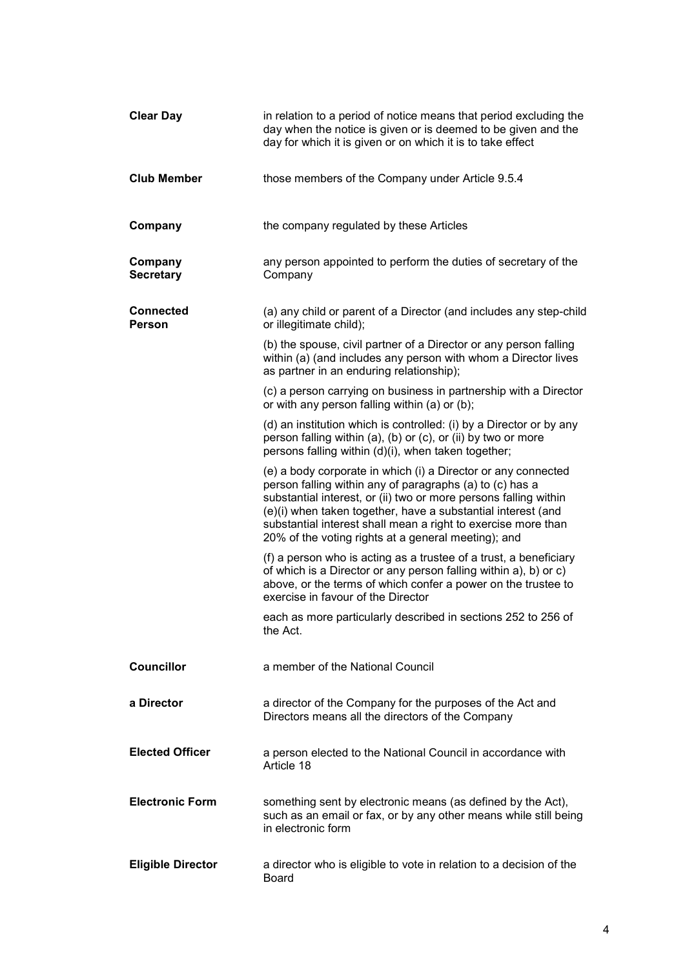| <b>Clear Day</b>            | in relation to a period of notice means that period excluding the<br>day when the notice is given or is deemed to be given and the<br>day for which it is given or on which it is to take effect                                                                                                                                                                                      |
|-----------------------------|---------------------------------------------------------------------------------------------------------------------------------------------------------------------------------------------------------------------------------------------------------------------------------------------------------------------------------------------------------------------------------------|
| <b>Club Member</b>          | those members of the Company under Article 9.5.4                                                                                                                                                                                                                                                                                                                                      |
| Company                     | the company regulated by these Articles                                                                                                                                                                                                                                                                                                                                               |
| Company<br><b>Secretary</b> | any person appointed to perform the duties of secretary of the<br>Company                                                                                                                                                                                                                                                                                                             |
| <b>Connected</b><br>Person  | (a) any child or parent of a Director (and includes any step-child<br>or illegitimate child);                                                                                                                                                                                                                                                                                         |
|                             | (b) the spouse, civil partner of a Director or any person falling<br>within (a) (and includes any person with whom a Director lives<br>as partner in an enduring relationship);                                                                                                                                                                                                       |
|                             | (c) a person carrying on business in partnership with a Director<br>or with any person falling within (a) or (b);                                                                                                                                                                                                                                                                     |
|                             | (d) an institution which is controlled: (i) by a Director or by any<br>person falling within (a), (b) or (c), or (ii) by two or more<br>persons falling within (d)(i), when taken together;                                                                                                                                                                                           |
|                             | (e) a body corporate in which (i) a Director or any connected<br>person falling within any of paragraphs (a) to (c) has a<br>substantial interest, or (ii) two or more persons falling within<br>(e)(i) when taken together, have a substantial interest (and<br>substantial interest shall mean a right to exercise more than<br>20% of the voting rights at a general meeting); and |
|                             | (f) a person who is acting as a trustee of a trust, a beneficiary<br>of which is a Director or any person falling within a), b) or c)<br>above, or the terms of which confer a power on the trustee to<br>exercise in favour of the Director                                                                                                                                          |
|                             | each as more particularly described in sections 252 to 256 of<br>the Act.                                                                                                                                                                                                                                                                                                             |
| <b>Councillor</b>           | a member of the National Council                                                                                                                                                                                                                                                                                                                                                      |
| a Director                  | a director of the Company for the purposes of the Act and<br>Directors means all the directors of the Company                                                                                                                                                                                                                                                                         |
| <b>Elected Officer</b>      | a person elected to the National Council in accordance with<br>Article 18                                                                                                                                                                                                                                                                                                             |
| <b>Electronic Form</b>      | something sent by electronic means (as defined by the Act),<br>such as an email or fax, or by any other means while still being<br>in electronic form                                                                                                                                                                                                                                 |
| <b>Eligible Director</b>    | a director who is eligible to vote in relation to a decision of the<br><b>Board</b>                                                                                                                                                                                                                                                                                                   |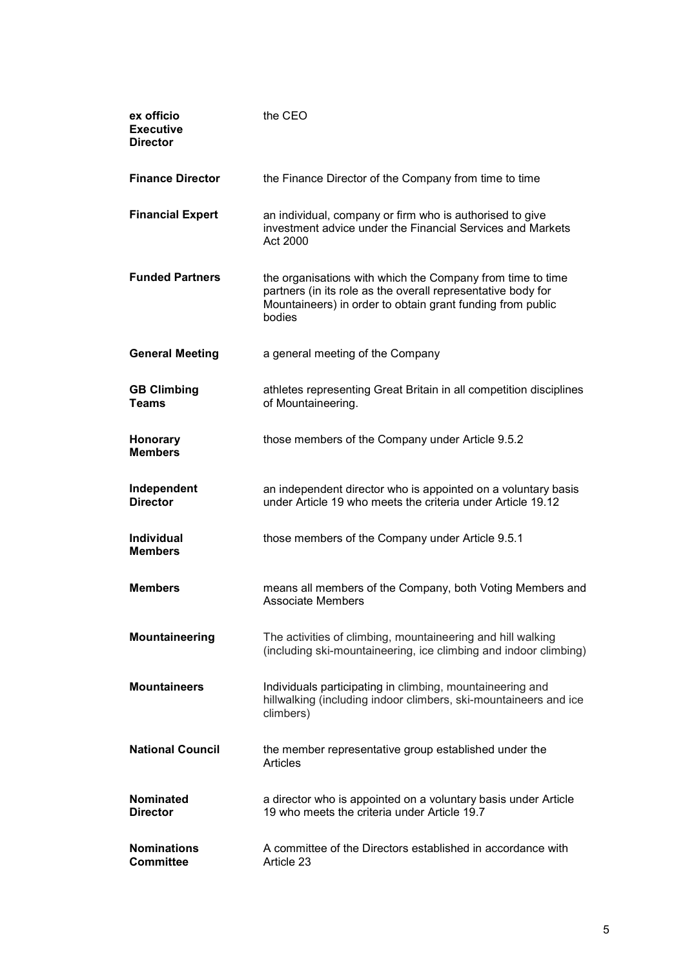| ex officio<br><b>Executive</b><br><b>Director</b> | the CEO                                                                                                                                                                                            |
|---------------------------------------------------|----------------------------------------------------------------------------------------------------------------------------------------------------------------------------------------------------|
| <b>Finance Director</b>                           | the Finance Director of the Company from time to time                                                                                                                                              |
| <b>Financial Expert</b>                           | an individual, company or firm who is authorised to give<br>investment advice under the Financial Services and Markets<br>Act 2000                                                                 |
| <b>Funded Partners</b>                            | the organisations with which the Company from time to time<br>partners (in its role as the overall representative body for<br>Mountaineers) in order to obtain grant funding from public<br>bodies |
| <b>General Meeting</b>                            | a general meeting of the Company                                                                                                                                                                   |
| <b>GB Climbing</b><br><b>Teams</b>                | athletes representing Great Britain in all competition disciplines<br>of Mountaineering.                                                                                                           |
| Honorary<br><b>Members</b>                        | those members of the Company under Article 9.5.2                                                                                                                                                   |
| Independent<br><b>Director</b>                    | an independent director who is appointed on a voluntary basis<br>under Article 19 who meets the criteria under Article 19.12                                                                       |
| <b>Individual</b><br><b>Members</b>               | those members of the Company under Article 9.5.1                                                                                                                                                   |
| <b>Members</b>                                    | means all members of the Company, both Voting Members and<br><b>Associate Members</b>                                                                                                              |
| Mountaineering                                    | The activities of climbing, mountaineering and hill walking<br>(including ski-mountaineering, ice climbing and indoor climbing)                                                                    |
| <b>Mountaineers</b>                               | Individuals participating in climbing, mountaineering and<br>hillwalking (including indoor climbers, ski-mountaineers and ice<br>climbers)                                                         |
| <b>National Council</b>                           | the member representative group established under the<br><b>Articles</b>                                                                                                                           |
| <b>Nominated</b><br><b>Director</b>               | a director who is appointed on a voluntary basis under Article<br>19 who meets the criteria under Article 19.7                                                                                     |
| <b>Nominations</b><br><b>Committee</b>            | A committee of the Directors established in accordance with<br>Article 23                                                                                                                          |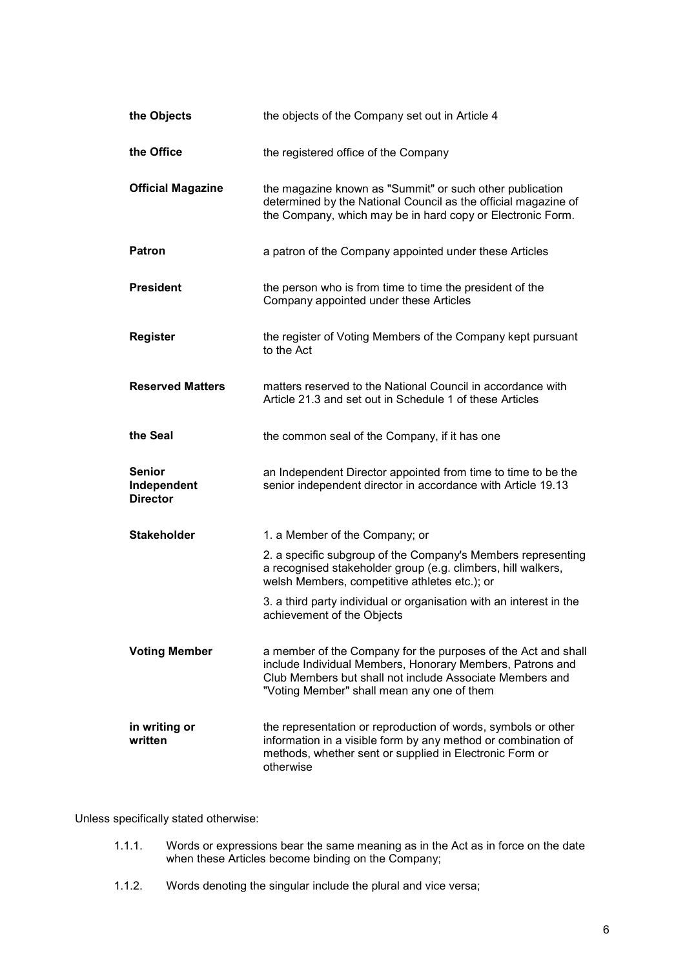| the Objects                                     | the objects of the Company set out in Article 4                                                                                                                                                                                      |
|-------------------------------------------------|--------------------------------------------------------------------------------------------------------------------------------------------------------------------------------------------------------------------------------------|
| the Office                                      | the registered office of the Company                                                                                                                                                                                                 |
| <b>Official Magazine</b>                        | the magazine known as "Summit" or such other publication<br>determined by the National Council as the official magazine of<br>the Company, which may be in hard copy or Electronic Form.                                             |
| <b>Patron</b>                                   | a patron of the Company appointed under these Articles                                                                                                                                                                               |
| <b>President</b>                                | the person who is from time to time the president of the<br>Company appointed under these Articles                                                                                                                                   |
| <b>Register</b>                                 | the register of Voting Members of the Company kept pursuant<br>to the Act                                                                                                                                                            |
| <b>Reserved Matters</b>                         | matters reserved to the National Council in accordance with<br>Article 21.3 and set out in Schedule 1 of these Articles                                                                                                              |
| the Seal                                        | the common seal of the Company, if it has one                                                                                                                                                                                        |
| <b>Senior</b><br>Independent<br><b>Director</b> | an Independent Director appointed from time to time to be the<br>senior independent director in accordance with Article 19.13                                                                                                        |
| <b>Stakeholder</b>                              | 1. a Member of the Company; or                                                                                                                                                                                                       |
|                                                 | 2. a specific subgroup of the Company's Members representing<br>a recognised stakeholder group (e.g. climbers, hill walkers,<br>welsh Members, competitive athletes etc.); or                                                        |
|                                                 | 3. a third party individual or organisation with an interest in the<br>achievement of the Objects                                                                                                                                    |
| <b>Voting Member</b>                            | a member of the Company for the purposes of the Act and shall<br>include Individual Members, Honorary Members, Patrons and<br>Club Members but shall not include Associate Members and<br>"Voting Member" shall mean any one of them |
| in writing or<br>written                        | the representation or reproduction of words, symbols or other<br>information in a visible form by any method or combination of<br>methods, whether sent or supplied in Electronic Form or<br>otherwise                               |

Unless specifically stated otherwise:

- 1.1.1. Words or expressions bear the same meaning as in the Act as in force on the date when these Articles become binding on the Company;
- 1.1.2. Words denoting the singular include the plural and vice versa;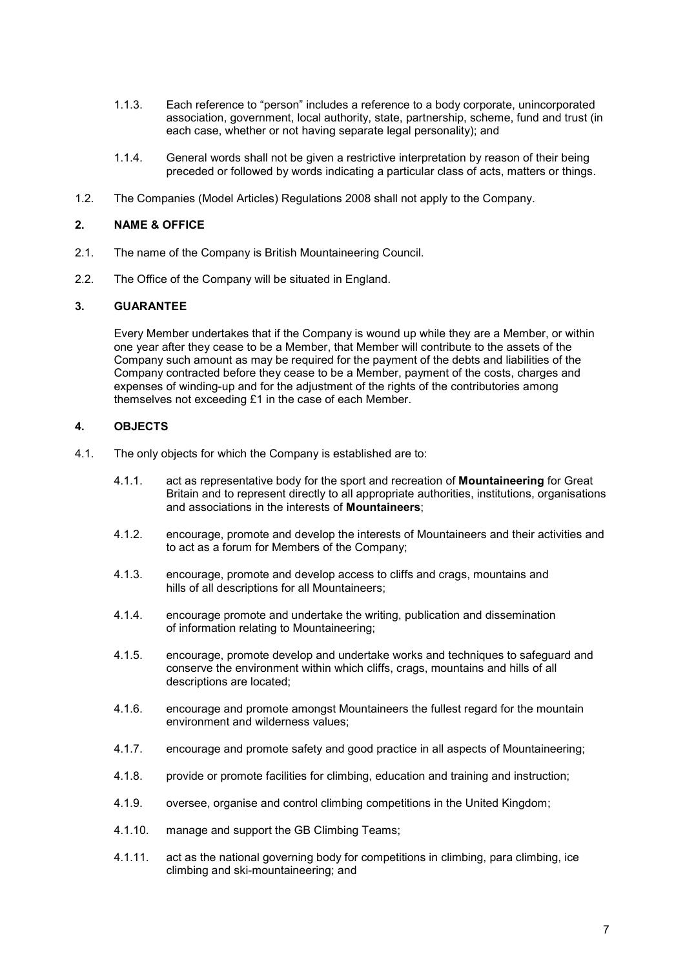- 1.1.3. Each reference to "person" includes a reference to a body corporate, unincorporated association, government, local authority, state, partnership, scheme, fund and trust (in each case, whether or not having separate legal personality); and
- 1.1.4. General words shall not be given a restrictive interpretation by reason of their being preceded or followed by words indicating a particular class of acts, matters or things.
- 1.2. The Companies (Model Articles) Regulations 2008 shall not apply to the Company.

## 2. NAME & OFFICE

- 2.1. The name of the Company is British Mountaineering Council.
- 2.2. The Office of the Company will be situated in England.

# 3. GUARANTEE

Every Member undertakes that if the Company is wound up while they are a Member, or within one year after they cease to be a Member, that Member will contribute to the assets of the Company such amount as may be required for the payment of the debts and liabilities of the Company contracted before they cease to be a Member, payment of the costs, charges and expenses of winding-up and for the adjustment of the rights of the contributories among themselves not exceeding £1 in the case of each Member.

# 4. OBJECTS

- 4.1. The only objects for which the Company is established are to:
	- 4.1.1. act as representative body for the sport and recreation of **Mountaineering** for Great Britain and to represent directly to all appropriate authorities, institutions, organisations and associations in the interests of Mountaineers;
	- 4.1.2. encourage, promote and develop the interests of Mountaineers and their activities and to act as a forum for Members of the Company;
	- 4.1.3. encourage, promote and develop access to cliffs and crags, mountains and hills of all descriptions for all Mountaineers:
	- 4.1.4. encourage promote and undertake the writing, publication and dissemination of information relating to Mountaineering;
	- 4.1.5. encourage, promote develop and undertake works and techniques to safeguard and conserve the environment within which cliffs, crags, mountains and hills of all descriptions are located;
	- 4.1.6. encourage and promote amongst Mountaineers the fullest regard for the mountain environment and wilderness values;
	- 4.1.7. encourage and promote safety and good practice in all aspects of Mountaineering;
	- 4.1.8. provide or promote facilities for climbing, education and training and instruction;
	- 4.1.9. oversee, organise and control climbing competitions in the United Kingdom;
	- 4.1.10. manage and support the GB Climbing Teams;
	- 4.1.11. act as the national governing body for competitions in climbing, para climbing, ice climbing and ski-mountaineering; and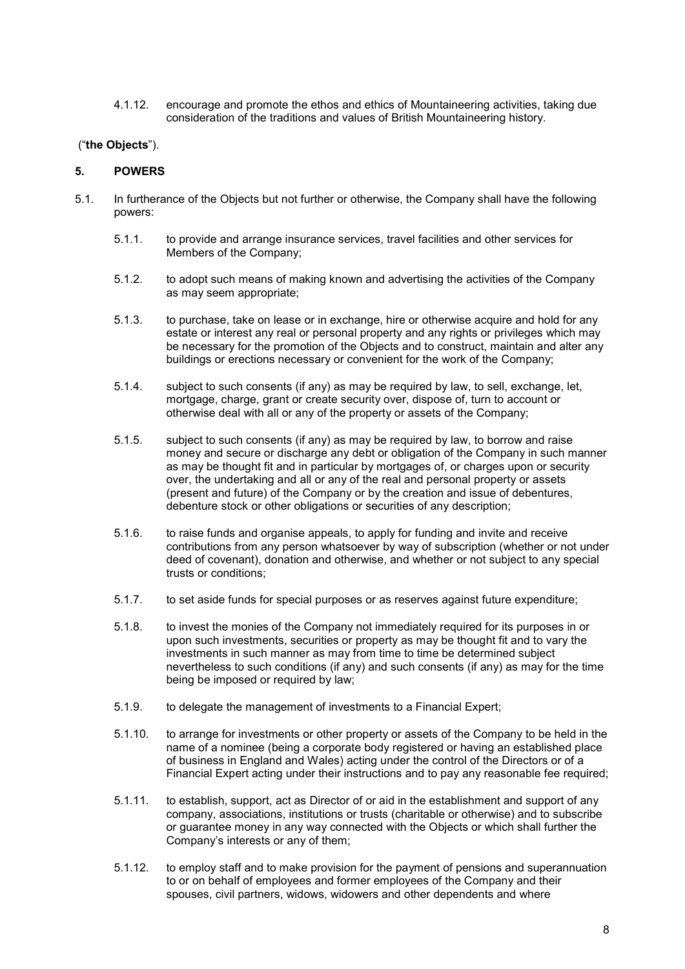4.1.12. encourage and promote the ethos and ethics of Mountaineering activities, taking due consideration of the traditions and values of British Mountaineering history.

# ("the Objects").

## 5. POWERS

- 5.1. In furtherance of the Objects but not further or otherwise, the Company shall have the following powers:
	- 5.1.1. to provide and arrange insurance services, travel facilities and other services for Members of the Company;
	- 5.1.2. to adopt such means of making known and advertising the activities of the Company as may seem appropriate;
	- 5.1.3. to purchase, take on lease or in exchange, hire or otherwise acquire and hold for any estate or interest any real or personal property and any rights or privileges which may be necessary for the promotion of the Objects and to construct, maintain and alter any buildings or erections necessary or convenient for the work of the Company;
	- 5.1.4. subject to such consents (if any) as may be required by law, to sell, exchange, let, mortgage, charge, grant or create security over, dispose of, turn to account or otherwise deal with all or any of the property or assets of the Company;
	- 5.1.5. subject to such consents (if any) as may be required by law, to borrow and raise money and secure or discharge any debt or obligation of the Company in such manner as may be thought fit and in particular by mortgages of, or charges upon or security over, the undertaking and all or any of the real and personal property or assets (present and future) of the Company or by the creation and issue of debentures, debenture stock or other obligations or securities of any description;
	- 5.1.6. to raise funds and organise appeals, to apply for funding and invite and receive contributions from any person whatsoever by way of subscription (whether or not under deed of covenant), donation and otherwise, and whether or not subject to any special trusts or conditions;
	- 5.1.7. to set aside funds for special purposes or as reserves against future expenditure;
	- 5.1.8. to invest the monies of the Company not immediately required for its purposes in or upon such investments, securities or property as may be thought fit and to vary the investments in such manner as may from time to time be determined subject nevertheless to such conditions (if any) and such consents (if any) as may for the time being be imposed or required by law;
	- 5.1.9. to delegate the management of investments to a Financial Expert;
	- 5.1.10. to arrange for investments or other property or assets of the Company to be held in the name of a nominee (being a corporate body registered or having an established place of business in England and Wales) acting under the control of the Directors or of a Financial Expert acting under their instructions and to pay any reasonable fee required;
	- 5.1.11. to establish, support, act as Director of or aid in the establishment and support of any company, associations, institutions or trusts (charitable or otherwise) and to subscribe or guarantee money in any way connected with the Objects or which shall further the Company's interests or any of them;
	- 5.1.12. to employ staff and to make provision for the payment of pensions and superannuation to or on behalf of employees and former employees of the Company and their spouses, civil partners, widows, widowers and other dependents and where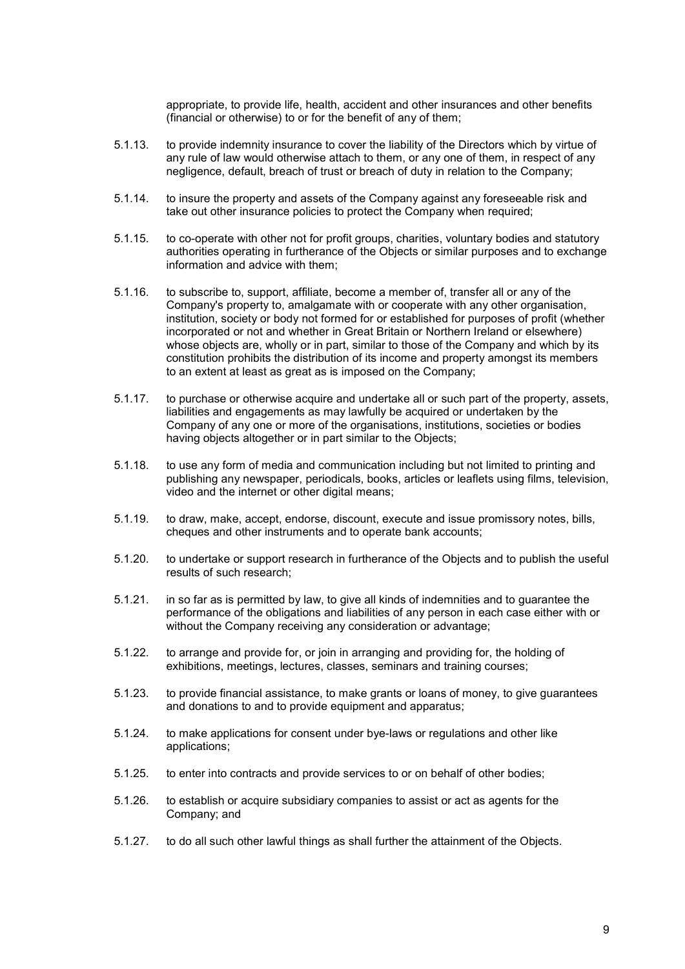appropriate, to provide life, health, accident and other insurances and other benefits (financial or otherwise) to or for the benefit of any of them;

- 5.1.13. to provide indemnity insurance to cover the liability of the Directors which by virtue of any rule of law would otherwise attach to them, or any one of them, in respect of any negligence, default, breach of trust or breach of duty in relation to the Company;
- 5.1.14. to insure the property and assets of the Company against any foreseeable risk and take out other insurance policies to protect the Company when required;
- 5.1.15. to co-operate with other not for profit groups, charities, voluntary bodies and statutory authorities operating in furtherance of the Objects or similar purposes and to exchange information and advice with them;
- 5.1.16. to subscribe to, support, affiliate, become a member of, transfer all or any of the Company's property to, amalgamate with or cooperate with any other organisation, institution, society or body not formed for or established for purposes of profit (whether incorporated or not and whether in Great Britain or Northern Ireland or elsewhere) whose objects are, wholly or in part, similar to those of the Company and which by its constitution prohibits the distribution of its income and property amongst its members to an extent at least as great as is imposed on the Company;
- 5.1.17. to purchase or otherwise acquire and undertake all or such part of the property, assets, liabilities and engagements as may lawfully be acquired or undertaken by the Company of any one or more of the organisations, institutions, societies or bodies having objects altogether or in part similar to the Objects;
- 5.1.18. to use any form of media and communication including but not limited to printing and publishing any newspaper, periodicals, books, articles or leaflets using films, television, video and the internet or other digital means;
- 5.1.19. to draw, make, accept, endorse, discount, execute and issue promissory notes, bills, cheques and other instruments and to operate bank accounts;
- 5.1.20. to undertake or support research in furtherance of the Objects and to publish the useful results of such research;
- 5.1.21. in so far as is permitted by law, to give all kinds of indemnities and to guarantee the performance of the obligations and liabilities of any person in each case either with or without the Company receiving any consideration or advantage;
- 5.1.22. to arrange and provide for, or join in arranging and providing for, the holding of exhibitions, meetings, lectures, classes, seminars and training courses;
- 5.1.23. to provide financial assistance, to make grants or loans of money, to give guarantees and donations to and to provide equipment and apparatus;
- 5.1.24. to make applications for consent under bye-laws or regulations and other like applications;
- 5.1.25. to enter into contracts and provide services to or on behalf of other bodies;
- 5.1.26. to establish or acquire subsidiary companies to assist or act as agents for the Company; and
- 5.1.27. to do all such other lawful things as shall further the attainment of the Objects.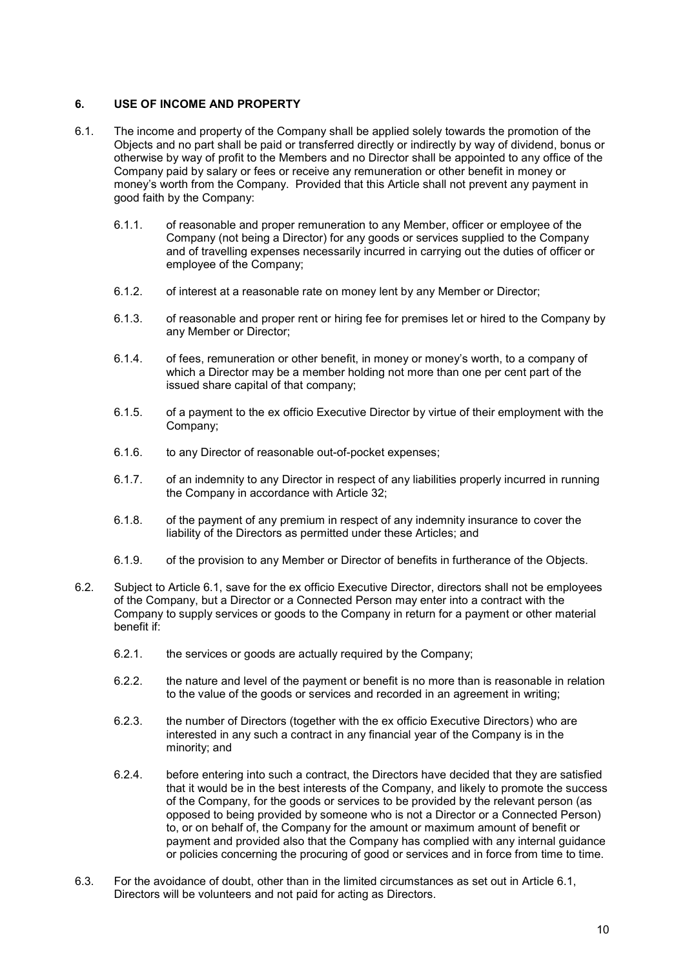# 6. USE OF INCOME AND PROPERTY

- 6.1. The income and property of the Company shall be applied solely towards the promotion of the Objects and no part shall be paid or transferred directly or indirectly by way of dividend, bonus or otherwise by way of profit to the Members and no Director shall be appointed to any office of the Company paid by salary or fees or receive any remuneration or other benefit in money or money's worth from the Company. Provided that this Article shall not prevent any payment in good faith by the Company:
	- 6.1.1. of reasonable and proper remuneration to any Member, officer or employee of the Company (not being a Director) for any goods or services supplied to the Company and of travelling expenses necessarily incurred in carrying out the duties of officer or employee of the Company;
	- 6.1.2. of interest at a reasonable rate on money lent by any Member or Director;
	- 6.1.3. of reasonable and proper rent or hiring fee for premises let or hired to the Company by any Member or Director;
	- 6.1.4. of fees, remuneration or other benefit, in money or money's worth, to a company of which a Director may be a member holding not more than one per cent part of the issued share capital of that company;
	- 6.1.5. of a payment to the ex officio Executive Director by virtue of their employment with the Company;
	- 6.1.6. to any Director of reasonable out-of-pocket expenses;
	- 6.1.7. of an indemnity to any Director in respect of any liabilities properly incurred in running the Company in accordance with Article 32;
	- 6.1.8. of the payment of any premium in respect of any indemnity insurance to cover the liability of the Directors as permitted under these Articles; and
	- 6.1.9. of the provision to any Member or Director of benefits in furtherance of the Objects.
- 6.2. Subject to Article 6.1, save for the ex officio Executive Director, directors shall not be employees of the Company, but a Director or a Connected Person may enter into a contract with the Company to supply services or goods to the Company in return for a payment or other material benefit if:
	- 6.2.1. the services or goods are actually required by the Company;
	- 6.2.2. the nature and level of the payment or benefit is no more than is reasonable in relation to the value of the goods or services and recorded in an agreement in writing;
	- 6.2.3. the number of Directors (together with the ex officio Executive Directors) who are interested in any such a contract in any financial year of the Company is in the minority; and
	- 6.2.4. before entering into such a contract, the Directors have decided that they are satisfied that it would be in the best interests of the Company, and likely to promote the success of the Company, for the goods or services to be provided by the relevant person (as opposed to being provided by someone who is not a Director or a Connected Person) to, or on behalf of, the Company for the amount or maximum amount of benefit or payment and provided also that the Company has complied with any internal guidance or policies concerning the procuring of good or services and in force from time to time.
- 6.3. For the avoidance of doubt, other than in the limited circumstances as set out in Article 6.1, Directors will be volunteers and not paid for acting as Directors.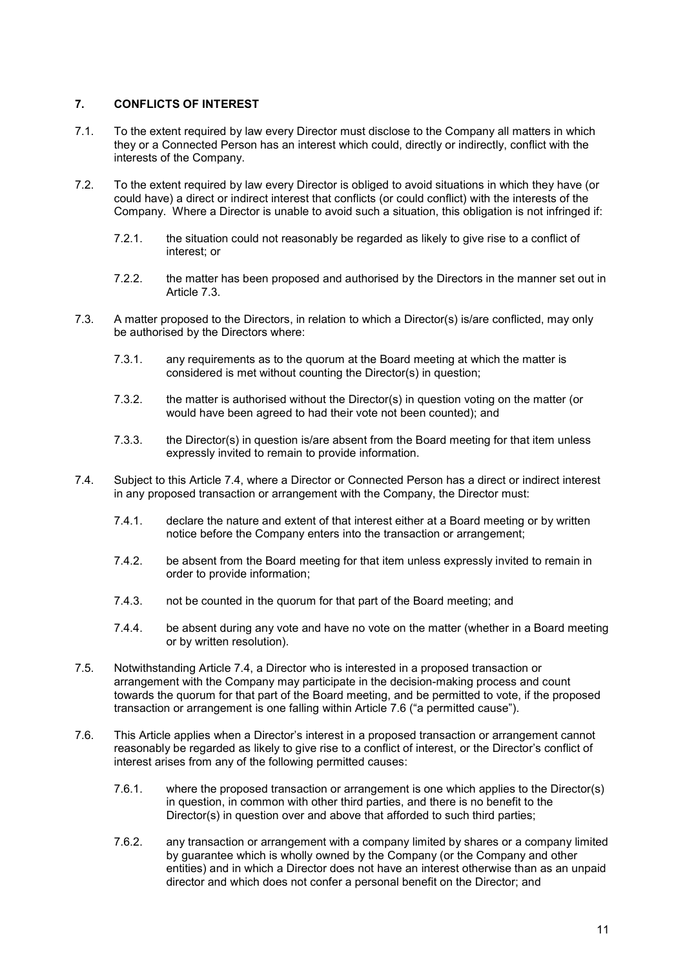# 7. CONFLICTS OF INTEREST

- 7.1. To the extent required by law every Director must disclose to the Company all matters in which they or a Connected Person has an interest which could, directly or indirectly, conflict with the interests of the Company.
- 7.2. To the extent required by law every Director is obliged to avoid situations in which they have (or could have) a direct or indirect interest that conflicts (or could conflict) with the interests of the Company. Where a Director is unable to avoid such a situation, this obligation is not infringed if:
	- 7.2.1. the situation could not reasonably be regarded as likely to give rise to a conflict of interest; or
	- 7.2.2. the matter has been proposed and authorised by the Directors in the manner set out in Article 7.3.
- 7.3. A matter proposed to the Directors, in relation to which a Director(s) is/are conflicted, may only be authorised by the Directors where:
	- 7.3.1. any requirements as to the quorum at the Board meeting at which the matter is considered is met without counting the Director(s) in question;
	- 7.3.2. the matter is authorised without the Director(s) in question voting on the matter (or would have been agreed to had their vote not been counted); and
	- 7.3.3. the Director(s) in question is/are absent from the Board meeting for that item unless expressly invited to remain to provide information.
- 7.4. Subject to this Article 7.4, where a Director or Connected Person has a direct or indirect interest in any proposed transaction or arrangement with the Company, the Director must:
	- 7.4.1. declare the nature and extent of that interest either at a Board meeting or by written notice before the Company enters into the transaction or arrangement;
	- 7.4.2. be absent from the Board meeting for that item unless expressly invited to remain in order to provide information;
	- 7.4.3. not be counted in the quorum for that part of the Board meeting; and
	- 7.4.4. be absent during any vote and have no vote on the matter (whether in a Board meeting or by written resolution).
- 7.5. Notwithstanding Article 7.4, a Director who is interested in a proposed transaction or arrangement with the Company may participate in the decision-making process and count towards the quorum for that part of the Board meeting, and be permitted to vote, if the proposed transaction or arrangement is one falling within Article 7.6 ("a permitted cause").
- 7.6. This Article applies when a Director's interest in a proposed transaction or arrangement cannot reasonably be regarded as likely to give rise to a conflict of interest, or the Director's conflict of interest arises from any of the following permitted causes:
	- 7.6.1. where the proposed transaction or arrangement is one which applies to the Director(s) in question, in common with other third parties, and there is no benefit to the Director(s) in question over and above that afforded to such third parties;
	- 7.6.2. any transaction or arrangement with a company limited by shares or a company limited by guarantee which is wholly owned by the Company (or the Company and other entities) and in which a Director does not have an interest otherwise than as an unpaid director and which does not confer a personal benefit on the Director; and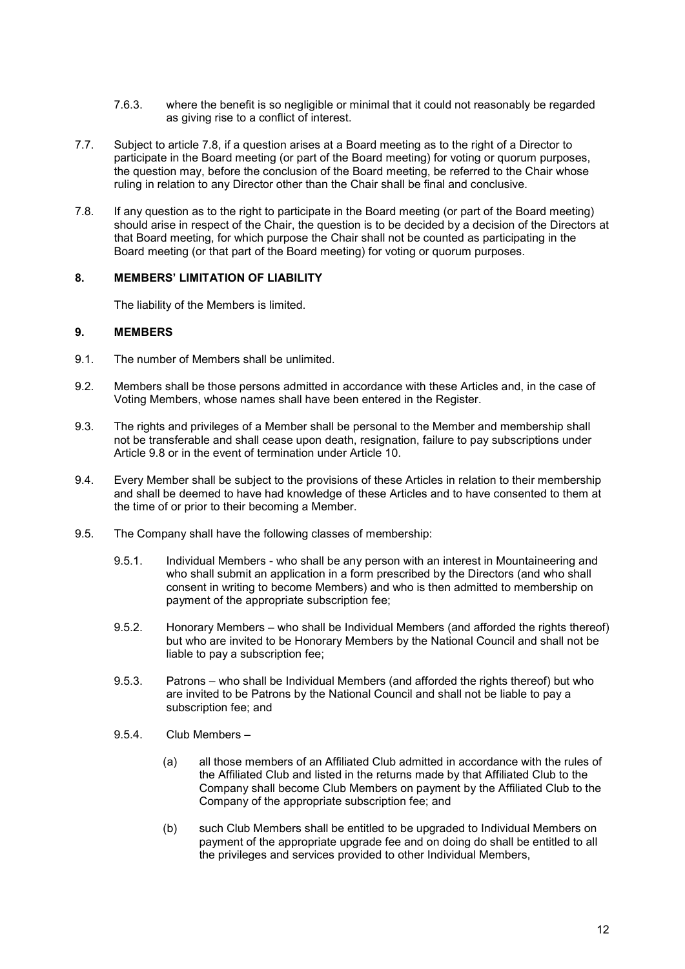- 7.6.3. where the benefit is so negligible or minimal that it could not reasonably be regarded as giving rise to a conflict of interest.
- 7.7. Subject to article 7.8, if a question arises at a Board meeting as to the right of a Director to participate in the Board meeting (or part of the Board meeting) for voting or quorum purposes, the question may, before the conclusion of the Board meeting, be referred to the Chair whose ruling in relation to any Director other than the Chair shall be final and conclusive.
- 7.8. If any question as to the right to participate in the Board meeting (or part of the Board meeting) should arise in respect of the Chair, the question is to be decided by a decision of the Directors at that Board meeting, for which purpose the Chair shall not be counted as participating in the Board meeting (or that part of the Board meeting) for voting or quorum purposes.

## 8. MEMBERS' LIMITATION OF LIABILITY

The liability of the Members is limited.

# 9. MEMBERS

- 9.1. The number of Members shall be unlimited.
- 9.2. Members shall be those persons admitted in accordance with these Articles and, in the case of Voting Members, whose names shall have been entered in the Register.
- 9.3. The rights and privileges of a Member shall be personal to the Member and membership shall not be transferable and shall cease upon death, resignation, failure to pay subscriptions under Article 9.8 or in the event of termination under Article 10.
- 9.4. Every Member shall be subject to the provisions of these Articles in relation to their membership and shall be deemed to have had knowledge of these Articles and to have consented to them at the time of or prior to their becoming a Member.
- 9.5. The Company shall have the following classes of membership:
	- 9.5.1. Individual Members who shall be any person with an interest in Mountaineering and who shall submit an application in a form prescribed by the Directors (and who shall consent in writing to become Members) and who is then admitted to membership on payment of the appropriate subscription fee;
	- 9.5.2. Honorary Members who shall be Individual Members (and afforded the rights thereof) but who are invited to be Honorary Members by the National Council and shall not be liable to pay a subscription fee;
	- 9.5.3. Patrons who shall be Individual Members (and afforded the rights thereof) but who are invited to be Patrons by the National Council and shall not be liable to pay a subscription fee; and
	- 9.5.4. Club Members
		- (a) all those members of an Affiliated Club admitted in accordance with the rules of the Affiliated Club and listed in the returns made by that Affiliated Club to the Company shall become Club Members on payment by the Affiliated Club to the Company of the appropriate subscription fee; and
		- (b) such Club Members shall be entitled to be upgraded to Individual Members on payment of the appropriate upgrade fee and on doing do shall be entitled to all the privileges and services provided to other Individual Members,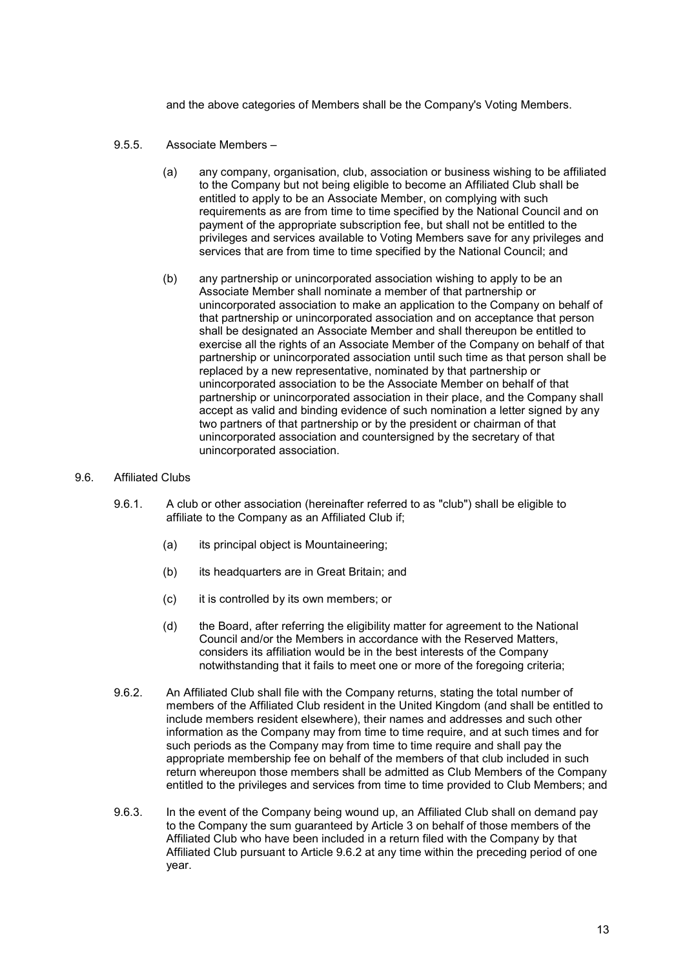and the above categories of Members shall be the Company's Voting Members.

- 9.5.5. Associate Members
	- (a) any company, organisation, club, association or business wishing to be affiliated to the Company but not being eligible to become an Affiliated Club shall be entitled to apply to be an Associate Member, on complying with such requirements as are from time to time specified by the National Council and on payment of the appropriate subscription fee, but shall not be entitled to the privileges and services available to Voting Members save for any privileges and services that are from time to time specified by the National Council; and
	- (b) any partnership or unincorporated association wishing to apply to be an Associate Member shall nominate a member of that partnership or unincorporated association to make an application to the Company on behalf of that partnership or unincorporated association and on acceptance that person shall be designated an Associate Member and shall thereupon be entitled to exercise all the rights of an Associate Member of the Company on behalf of that partnership or unincorporated association until such time as that person shall be replaced by a new representative, nominated by that partnership or unincorporated association to be the Associate Member on behalf of that partnership or unincorporated association in their place, and the Company shall accept as valid and binding evidence of such nomination a letter signed by any two partners of that partnership or by the president or chairman of that unincorporated association and countersigned by the secretary of that unincorporated association.

#### 9.6. Affiliated Clubs

- 9.6.1. A club or other association (hereinafter referred to as "club") shall be eligible to affiliate to the Company as an Affiliated Club if;
	- (a) its principal object is Mountaineering;
	- (b) its headquarters are in Great Britain; and
	- (c) it is controlled by its own members; or
	- (d) the Board, after referring the eligibility matter for agreement to the National Council and/or the Members in accordance with the Reserved Matters, considers its affiliation would be in the best interests of the Company notwithstanding that it fails to meet one or more of the foregoing criteria;
- 9.6.2. An Affiliated Club shall file with the Company returns, stating the total number of members of the Affiliated Club resident in the United Kingdom (and shall be entitled to include members resident elsewhere), their names and addresses and such other information as the Company may from time to time require, and at such times and for such periods as the Company may from time to time require and shall pay the appropriate membership fee on behalf of the members of that club included in such return whereupon those members shall be admitted as Club Members of the Company entitled to the privileges and services from time to time provided to Club Members; and
- 9.6.3. In the event of the Company being wound up, an Affiliated Club shall on demand pay to the Company the sum guaranteed by Article 3 on behalf of those members of the Affiliated Club who have been included in a return filed with the Company by that Affiliated Club pursuant to Article 9.6.2 at any time within the preceding period of one year.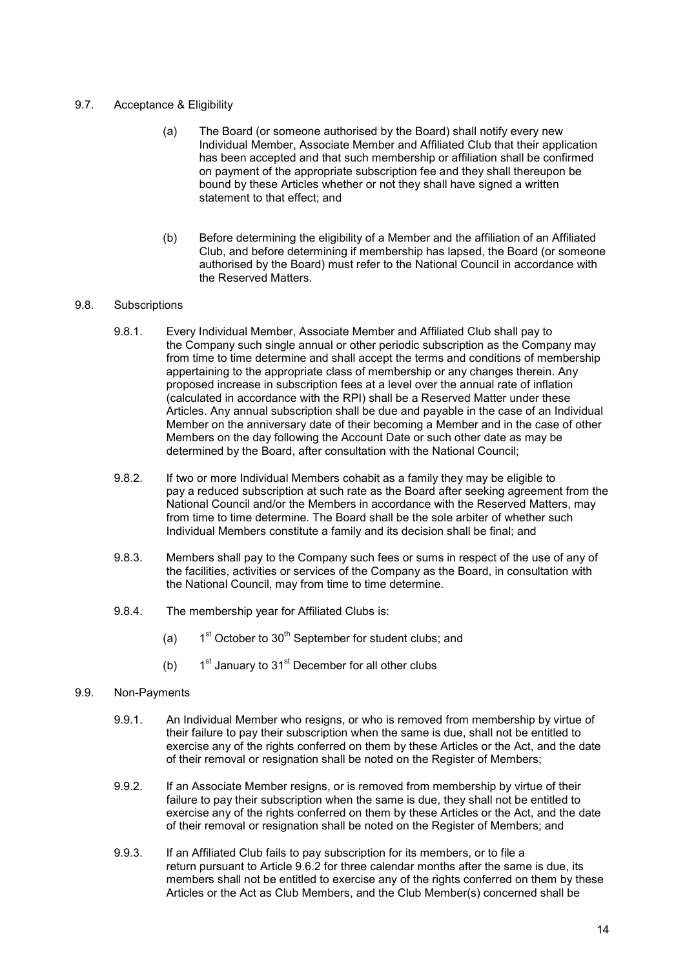## 9.7. Acceptance & Eligibility

- (a) The Board (or someone authorised by the Board) shall notify every new Individual Member, Associate Member and Affiliated Club that their application has been accepted and that such membership or affiliation shall be confirmed on payment of the appropriate subscription fee and they shall thereupon be bound by these Articles whether or not they shall have signed a written statement to that effect: and
- (b) Before determining the eligibility of a Member and the affiliation of an Affiliated Club, and before determining if membership has lapsed, the Board (or someone authorised by the Board) must refer to the National Council in accordance with the Reserved Matters.

## 9.8. Subscriptions

- 9.8.1. Every Individual Member, Associate Member and Affiliated Club shall pay to the Company such single annual or other periodic subscription as the Company may from time to time determine and shall accept the terms and conditions of membership appertaining to the appropriate class of membership or any changes therein. Any proposed increase in subscription fees at a level over the annual rate of inflation (calculated in accordance with the RPI) shall be a Reserved Matter under these Articles. Any annual subscription shall be due and payable in the case of an Individual Member on the anniversary date of their becoming a Member and in the case of other Members on the day following the Account Date or such other date as may be determined by the Board, after consultation with the National Council;
- 9.8.2. If two or more Individual Members cohabit as a family they may be eligible to pay a reduced subscription at such rate as the Board after seeking agreement from the National Council and/or the Members in accordance with the Reserved Matters, may from time to time determine. The Board shall be the sole arbiter of whether such Individual Members constitute a family and its decision shall be final; and
- 9.8.3. Members shall pay to the Company such fees or sums in respect of the use of any of the facilities, activities or services of the Company as the Board, in consultation with the National Council, may from time to time determine.
- 9.8.4. The membership year for Affiliated Clubs is:
	- (a)  $1<sup>st</sup> October to 30<sup>th</sup> September for student clubs: and$
	- (b)  $1<sup>st</sup>$  January to 31<sup>st</sup> December for all other clubs

#### 9.9. Non-Payments

- 9.9.1. An Individual Member who resigns, or who is removed from membership by virtue of their failure to pay their subscription when the same is due, shall not be entitled to exercise any of the rights conferred on them by these Articles or the Act, and the date of their removal or resignation shall be noted on the Register of Members;
- 9.9.2. If an Associate Member resigns, or is removed from membership by virtue of their failure to pay their subscription when the same is due, they shall not be entitled to exercise any of the rights conferred on them by these Articles or the Act, and the date of their removal or resignation shall be noted on the Register of Members; and
- 9.9.3. If an Affiliated Club fails to pay subscription for its members, or to file a return pursuant to Article 9.6.2 for three calendar months after the same is due, its members shall not be entitled to exercise any of the rights conferred on them by these Articles or the Act as Club Members, and the Club Member(s) concerned shall be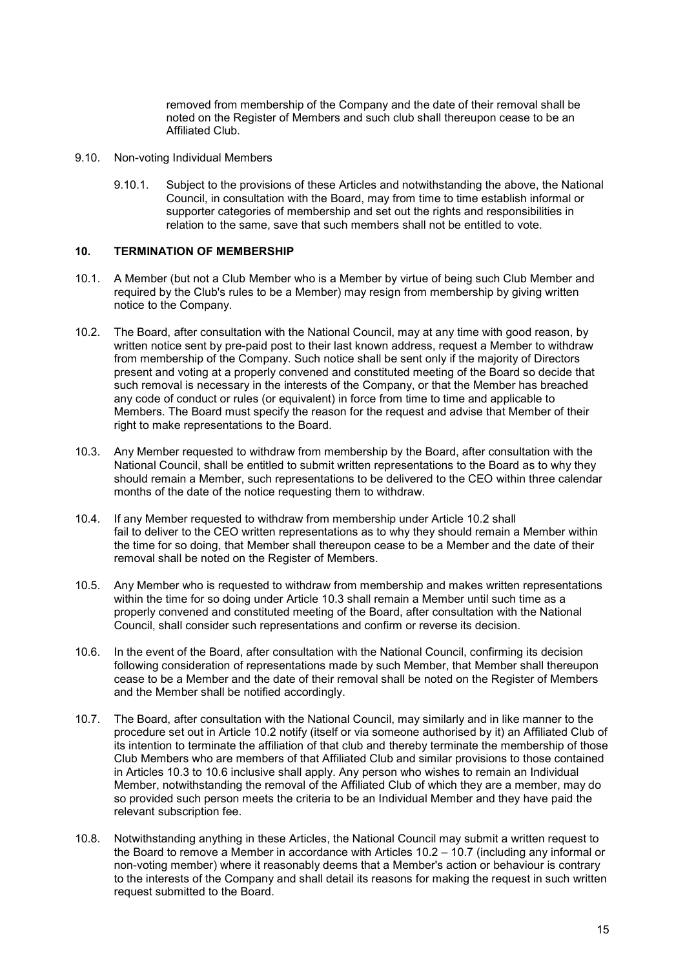removed from membership of the Company and the date of their removal shall be noted on the Register of Members and such club shall thereupon cease to be an Affiliated Club.

- 9.10. Non-voting Individual Members
	- 9.10.1. Subject to the provisions of these Articles and notwithstanding the above, the National Council, in consultation with the Board, may from time to time establish informal or supporter categories of membership and set out the rights and responsibilities in relation to the same, save that such members shall not be entitled to vote.

#### 10. TERMINATION OF MEMBERSHIP

- 10.1. A Member (but not a Club Member who is a Member by virtue of being such Club Member and required by the Club's rules to be a Member) may resign from membership by giving written notice to the Company.
- 10.2. The Board, after consultation with the National Council, may at any time with good reason, by written notice sent by pre-paid post to their last known address, request a Member to withdraw from membership of the Company. Such notice shall be sent only if the majority of Directors present and voting at a properly convened and constituted meeting of the Board so decide that such removal is necessary in the interests of the Company, or that the Member has breached any code of conduct or rules (or equivalent) in force from time to time and applicable to Members. The Board must specify the reason for the request and advise that Member of their right to make representations to the Board.
- 10.3. Any Member requested to withdraw from membership by the Board, after consultation with the National Council, shall be entitled to submit written representations to the Board as to why they should remain a Member, such representations to be delivered to the CEO within three calendar months of the date of the notice requesting them to withdraw.
- 10.4. If any Member requested to withdraw from membership under Article 10.2 shall fail to deliver to the CEO written representations as to why they should remain a Member within the time for so doing, that Member shall thereupon cease to be a Member and the date of their removal shall be noted on the Register of Members.
- 10.5. Any Member who is requested to withdraw from membership and makes written representations within the time for so doing under Article 10.3 shall remain a Member until such time as a properly convened and constituted meeting of the Board, after consultation with the National Council, shall consider such representations and confirm or reverse its decision.
- 10.6. In the event of the Board, after consultation with the National Council, confirming its decision following consideration of representations made by such Member, that Member shall thereupon cease to be a Member and the date of their removal shall be noted on the Register of Members and the Member shall be notified accordingly.
- 10.7. The Board, after consultation with the National Council, may similarly and in like manner to the procedure set out in Article 10.2 notify (itself or via someone authorised by it) an Affiliated Club of its intention to terminate the affiliation of that club and thereby terminate the membership of those Club Members who are members of that Affiliated Club and similar provisions to those contained in Articles 10.3 to 10.6 inclusive shall apply. Any person who wishes to remain an Individual Member, notwithstanding the removal of the Affiliated Club of which they are a member, may do so provided such person meets the criteria to be an Individual Member and they have paid the relevant subscription fee.
- 10.8. Notwithstanding anything in these Articles, the National Council may submit a written request to the Board to remove a Member in accordance with Articles 10.2 – 10.7 (including any informal or non-voting member) where it reasonably deems that a Member's action or behaviour is contrary to the interests of the Company and shall detail its reasons for making the request in such written request submitted to the Board.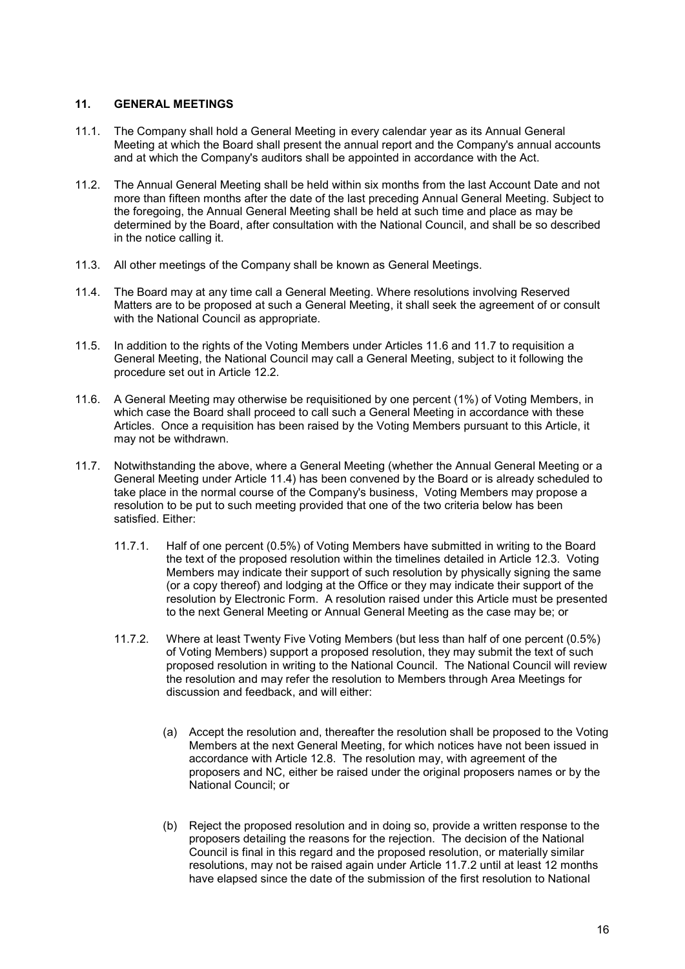## 11. GENERAL MEETINGS

- 11.1. The Company shall hold a General Meeting in every calendar year as its Annual General Meeting at which the Board shall present the annual report and the Company's annual accounts and at which the Company's auditors shall be appointed in accordance with the Act.
- 11.2. The Annual General Meeting shall be held within six months from the last Account Date and not more than fifteen months after the date of the last preceding Annual General Meeting. Subject to the foregoing, the Annual General Meeting shall be held at such time and place as may be determined by the Board, after consultation with the National Council, and shall be so described in the notice calling it.
- 11.3. All other meetings of the Company shall be known as General Meetings.
- 11.4. The Board may at any time call a General Meeting. Where resolutions involving Reserved Matters are to be proposed at such a General Meeting, it shall seek the agreement of or consult with the National Council as appropriate.
- 11.5. In addition to the rights of the Voting Members under Articles 11.6 and 11.7 to requisition a General Meeting, the National Council may call a General Meeting, subject to it following the procedure set out in Article 12.2.
- 11.6. A General Meeting may otherwise be requisitioned by one percent (1%) of Voting Members, in which case the Board shall proceed to call such a General Meeting in accordance with these Articles. Once a requisition has been raised by the Voting Members pursuant to this Article, it may not be withdrawn.
- 11.7. Notwithstanding the above, where a General Meeting (whether the Annual General Meeting or a General Meeting under Article 11.4) has been convened by the Board or is already scheduled to take place in the normal course of the Company's business, Voting Members may propose a resolution to be put to such meeting provided that one of the two criteria below has been satisfied. Either:
	- 11.7.1. Half of one percent (0.5%) of Voting Members have submitted in writing to the Board the text of the proposed resolution within the timelines detailed in Article 12.3. Voting Members may indicate their support of such resolution by physically signing the same (or a copy thereof) and lodging at the Office or they may indicate their support of the resolution by Electronic Form. A resolution raised under this Article must be presented to the next General Meeting or Annual General Meeting as the case may be; or
	- 11.7.2. Where at least Twenty Five Voting Members (but less than half of one percent (0.5%) of Voting Members) support a proposed resolution, they may submit the text of such proposed resolution in writing to the National Council. The National Council will review the resolution and may refer the resolution to Members through Area Meetings for discussion and feedback, and will either:
		- (a) Accept the resolution and, thereafter the resolution shall be proposed to the Voting Members at the next General Meeting, for which notices have not been issued in accordance with Article 12.8. The resolution may, with agreement of the proposers and NC, either be raised under the original proposers names or by the National Council; or
		- (b) Reject the proposed resolution and in doing so, provide a written response to the proposers detailing the reasons for the rejection. The decision of the National Council is final in this regard and the proposed resolution, or materially similar resolutions, may not be raised again under Article 11.7.2 until at least 12 months have elapsed since the date of the submission of the first resolution to National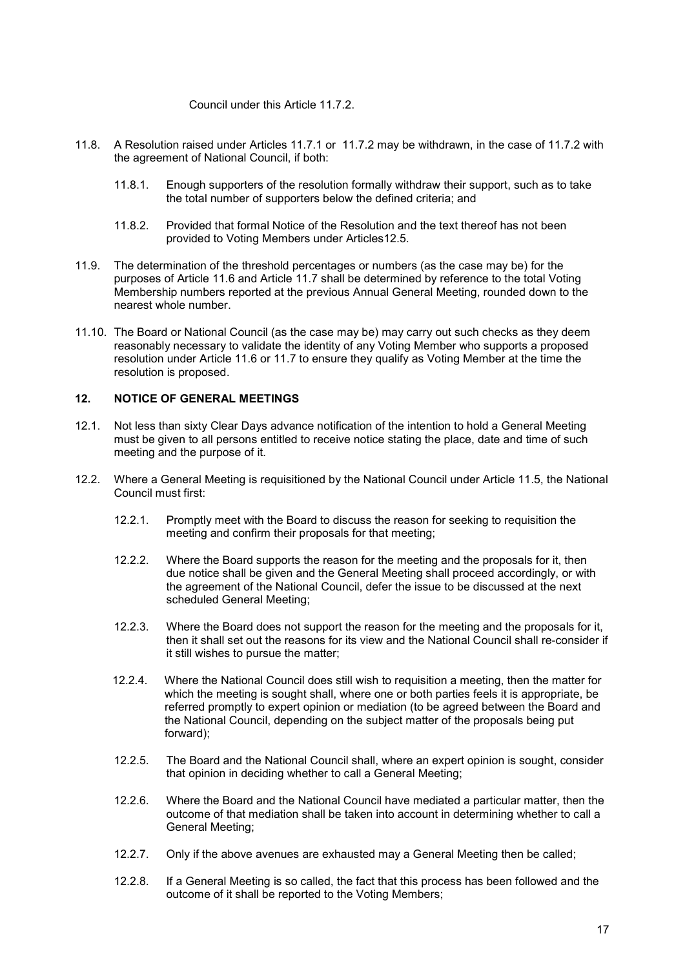Council under this Article 11.7.2.

- 11.8. A Resolution raised under Articles 11.7.1 or 11.7.2 may be withdrawn, in the case of 11.7.2 with the agreement of National Council, if both:
	- 11.8.1. Enough supporters of the resolution formally withdraw their support, such as to take the total number of supporters below the defined criteria; and
	- 11.8.2. Provided that formal Notice of the Resolution and the text thereof has not been provided to Voting Members under Articles12.5.
- 11.9. The determination of the threshold percentages or numbers (as the case may be) for the purposes of Article 11.6 and Article 11.7 shall be determined by reference to the total Voting Membership numbers reported at the previous Annual General Meeting, rounded down to the nearest whole number.
- 11.10. The Board or National Council (as the case may be) may carry out such checks as they deem reasonably necessary to validate the identity of any Voting Member who supports a proposed resolution under Article 11.6 or 11.7 to ensure they qualify as Voting Member at the time the resolution is proposed.

## 12. NOTICE OF GENERAL MEETINGS

- 12.1. Not less than sixty Clear Days advance notification of the intention to hold a General Meeting must be given to all persons entitled to receive notice stating the place, date and time of such meeting and the purpose of it.
- 12.2. Where a General Meeting is requisitioned by the National Council under Article 11.5, the National Council must first:
	- 12.2.1. Promptly meet with the Board to discuss the reason for seeking to requisition the meeting and confirm their proposals for that meeting;
	- 12.2.2. Where the Board supports the reason for the meeting and the proposals for it, then due notice shall be given and the General Meeting shall proceed accordingly, or with the agreement of the National Council, defer the issue to be discussed at the next scheduled General Meeting;
	- 12.2.3. Where the Board does not support the reason for the meeting and the proposals for it, then it shall set out the reasons for its view and the National Council shall re-consider if it still wishes to pursue the matter;
	- 12.2.4. Where the National Council does still wish to requisition a meeting, then the matter for which the meeting is sought shall, where one or both parties feels it is appropriate, be referred promptly to expert opinion or mediation (to be agreed between the Board and the National Council, depending on the subject matter of the proposals being put forward);
	- 12.2.5. The Board and the National Council shall, where an expert opinion is sought, consider that opinion in deciding whether to call a General Meeting;
	- 12.2.6. Where the Board and the National Council have mediated a particular matter, then the outcome of that mediation shall be taken into account in determining whether to call a General Meeting;
	- 12.2.7. Only if the above avenues are exhausted may a General Meeting then be called;
	- 12.2.8. If a General Meeting is so called, the fact that this process has been followed and the outcome of it shall be reported to the Voting Members;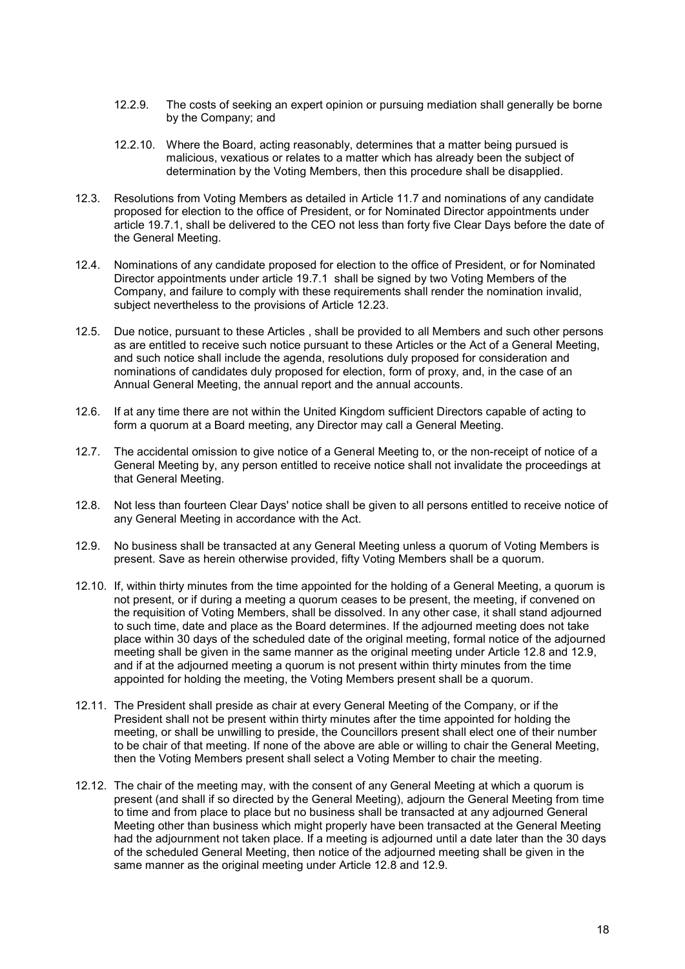- 12.2.9. The costs of seeking an expert opinion or pursuing mediation shall generally be borne by the Company; and
- 12.2.10. Where the Board, acting reasonably, determines that a matter being pursued is malicious, vexatious or relates to a matter which has already been the subject of determination by the Voting Members, then this procedure shall be disapplied.
- 12.3. Resolutions from Voting Members as detailed in Article 11.7 and nominations of any candidate proposed for election to the office of President, or for Nominated Director appointments under article 19.7.1, shall be delivered to the CEO not less than forty five Clear Days before the date of the General Meeting.
- 12.4. Nominations of any candidate proposed for election to the office of President, or for Nominated Director appointments under article 19.7.1 shall be signed by two Voting Members of the Company, and failure to comply with these requirements shall render the nomination invalid, subject nevertheless to the provisions of Article 12.23.
- 12.5. Due notice, pursuant to these Articles , shall be provided to all Members and such other persons as are entitled to receive such notice pursuant to these Articles or the Act of a General Meeting, and such notice shall include the agenda, resolutions duly proposed for consideration and nominations of candidates duly proposed for election, form of proxy, and, in the case of an Annual General Meeting, the annual report and the annual accounts.
- 12.6. If at any time there are not within the United Kingdom sufficient Directors capable of acting to form a quorum at a Board meeting, any Director may call a General Meeting.
- 12.7. The accidental omission to give notice of a General Meeting to, or the non-receipt of notice of a General Meeting by, any person entitled to receive notice shall not invalidate the proceedings at that General Meeting.
- 12.8. Not less than fourteen Clear Days' notice shall be given to all persons entitled to receive notice of any General Meeting in accordance with the Act.
- 12.9. No business shall be transacted at any General Meeting unless a quorum of Voting Members is present. Save as herein otherwise provided, fifty Voting Members shall be a quorum.
- 12.10. If, within thirty minutes from the time appointed for the holding of a General Meeting, a quorum is not present, or if during a meeting a quorum ceases to be present, the meeting, if convened on the requisition of Voting Members, shall be dissolved. In any other case, it shall stand adjourned to such time, date and place as the Board determines. If the adjourned meeting does not take place within 30 days of the scheduled date of the original meeting, formal notice of the adjourned meeting shall be given in the same manner as the original meeting under Article 12.8 and 12.9, and if at the adjourned meeting a quorum is not present within thirty minutes from the time appointed for holding the meeting, the Voting Members present shall be a quorum.
- 12.11. The President shall preside as chair at every General Meeting of the Company, or if the President shall not be present within thirty minutes after the time appointed for holding the meeting, or shall be unwilling to preside, the Councillors present shall elect one of their number to be chair of that meeting. If none of the above are able or willing to chair the General Meeting, then the Voting Members present shall select a Voting Member to chair the meeting.
- 12.12. The chair of the meeting may, with the consent of any General Meeting at which a quorum is present (and shall if so directed by the General Meeting), adjourn the General Meeting from time to time and from place to place but no business shall be transacted at any adjourned General Meeting other than business which might properly have been transacted at the General Meeting had the adjournment not taken place. If a meeting is adjourned until a date later than the 30 days of the scheduled General Meeting, then notice of the adjourned meeting shall be given in the same manner as the original meeting under Article 12.8 and 12.9.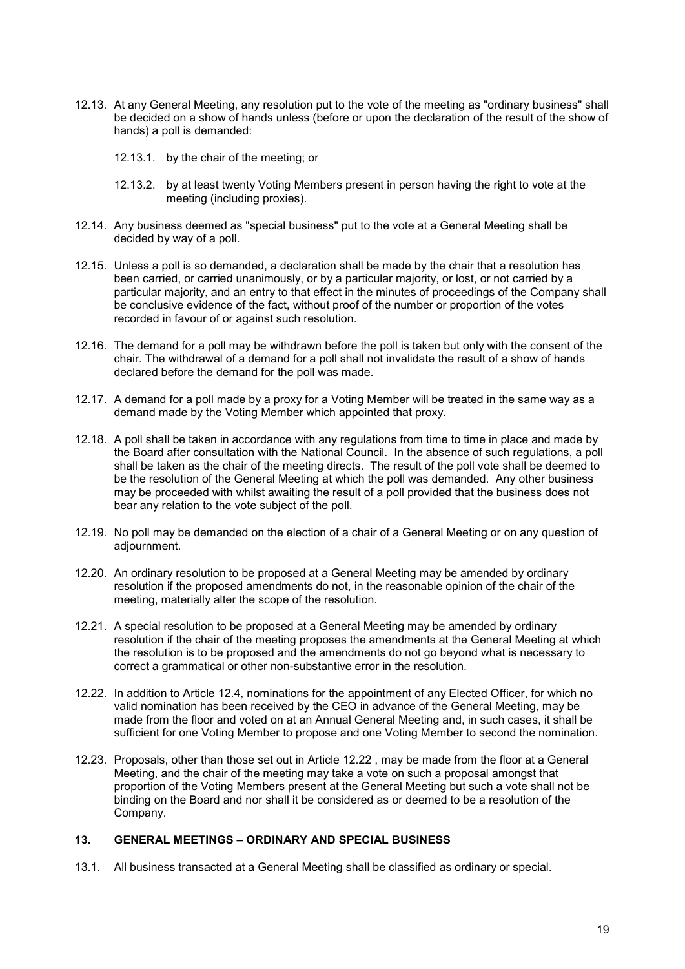- 12.13. At any General Meeting, any resolution put to the vote of the meeting as "ordinary business" shall be decided on a show of hands unless (before or upon the declaration of the result of the show of hands) a poll is demanded:
	- 12.13.1. by the chair of the meeting; or
	- 12.13.2. by at least twenty Voting Members present in person having the right to vote at the meeting (including proxies).
- 12.14. Any business deemed as "special business" put to the vote at a General Meeting shall be decided by way of a poll.
- 12.15. Unless a poll is so demanded, a declaration shall be made by the chair that a resolution has been carried, or carried unanimously, or by a particular majority, or lost, or not carried by a particular majority, and an entry to that effect in the minutes of proceedings of the Company shall be conclusive evidence of the fact, without proof of the number or proportion of the votes recorded in favour of or against such resolution.
- 12.16. The demand for a poll may be withdrawn before the poll is taken but only with the consent of the chair. The withdrawal of a demand for a poll shall not invalidate the result of a show of hands declared before the demand for the poll was made.
- 12.17. A demand for a poll made by a proxy for a Voting Member will be treated in the same way as a demand made by the Voting Member which appointed that proxy.
- 12.18. A poll shall be taken in accordance with any regulations from time to time in place and made by the Board after consultation with the National Council. In the absence of such regulations, a poll shall be taken as the chair of the meeting directs. The result of the poll vote shall be deemed to be the resolution of the General Meeting at which the poll was demanded. Any other business may be proceeded with whilst awaiting the result of a poll provided that the business does not bear any relation to the vote subject of the poll.
- 12.19. No poll may be demanded on the election of a chair of a General Meeting or on any question of adjournment.
- 12.20. An ordinary resolution to be proposed at a General Meeting may be amended by ordinary resolution if the proposed amendments do not, in the reasonable opinion of the chair of the meeting, materially alter the scope of the resolution.
- 12.21. A special resolution to be proposed at a General Meeting may be amended by ordinary resolution if the chair of the meeting proposes the amendments at the General Meeting at which the resolution is to be proposed and the amendments do not go beyond what is necessary to correct a grammatical or other non-substantive error in the resolution.
- 12.22. In addition to Article 12.4, nominations for the appointment of any Elected Officer, for which no valid nomination has been received by the CEO in advance of the General Meeting, may be made from the floor and voted on at an Annual General Meeting and, in such cases, it shall be sufficient for one Voting Member to propose and one Voting Member to second the nomination.
- 12.23. Proposals, other than those set out in Article 12.22 , may be made from the floor at a General Meeting, and the chair of the meeting may take a vote on such a proposal amongst that proportion of the Voting Members present at the General Meeting but such a vote shall not be binding on the Board and nor shall it be considered as or deemed to be a resolution of the Company.

## 13. GENERAL MEETINGS – ORDINARY AND SPECIAL BUSINESS

13.1. All business transacted at a General Meeting shall be classified as ordinary or special.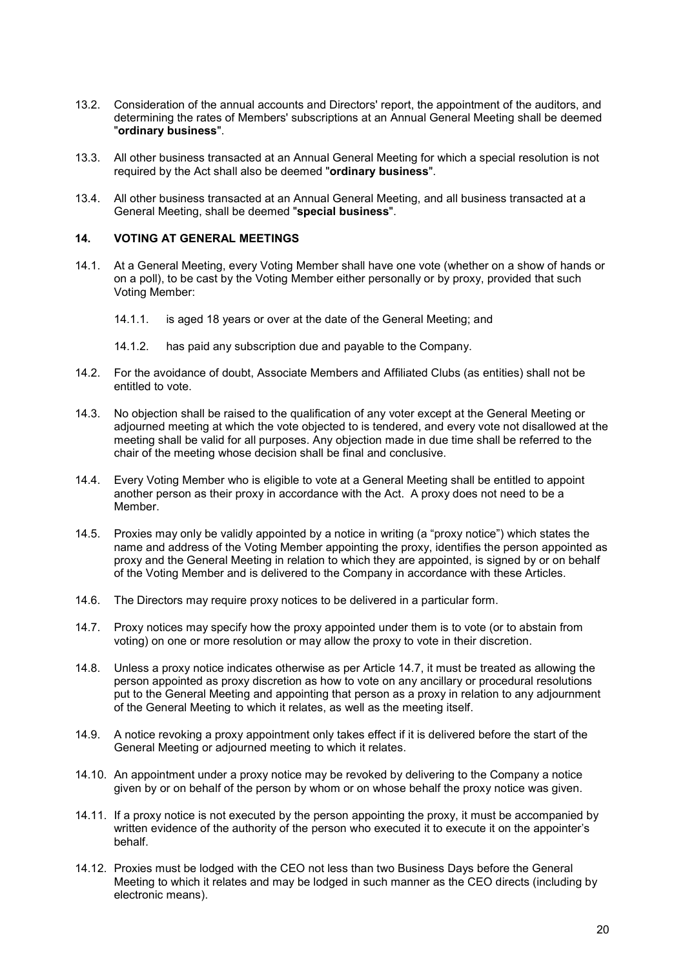- 13.2. Consideration of the annual accounts and Directors' report, the appointment of the auditors, and determining the rates of Members' subscriptions at an Annual General Meeting shall be deemed "ordinary business".
- 13.3. All other business transacted at an Annual General Meeting for which a special resolution is not required by the Act shall also be deemed "ordinary business".
- 13.4. All other business transacted at an Annual General Meeting, and all business transacted at a General Meeting, shall be deemed "special business".

#### 14. VOTING AT GENERAL MEETINGS

- 14.1. At a General Meeting, every Voting Member shall have one vote (whether on a show of hands or on a poll), to be cast by the Voting Member either personally or by proxy, provided that such Voting Member:
	- 14.1.1. is aged 18 years or over at the date of the General Meeting; and
	- 14.1.2. has paid any subscription due and payable to the Company.
- 14.2. For the avoidance of doubt, Associate Members and Affiliated Clubs (as entities) shall not be entitled to vote.
- 14.3. No objection shall be raised to the qualification of any voter except at the General Meeting or adjourned meeting at which the vote objected to is tendered, and every vote not disallowed at the meeting shall be valid for all purposes. Any objection made in due time shall be referred to the chair of the meeting whose decision shall be final and conclusive.
- 14.4. Every Voting Member who is eligible to vote at a General Meeting shall be entitled to appoint another person as their proxy in accordance with the Act. A proxy does not need to be a Member.
- 14.5. Proxies may only be validly appointed by a notice in writing (a "proxy notice") which states the name and address of the Voting Member appointing the proxy, identifies the person appointed as proxy and the General Meeting in relation to which they are appointed, is signed by or on behalf of the Voting Member and is delivered to the Company in accordance with these Articles.
- 14.6. The Directors may require proxy notices to be delivered in a particular form.
- 14.7. Proxy notices may specify how the proxy appointed under them is to vote (or to abstain from voting) on one or more resolution or may allow the proxy to vote in their discretion.
- 14.8. Unless a proxy notice indicates otherwise as per Article 14.7, it must be treated as allowing the person appointed as proxy discretion as how to vote on any ancillary or procedural resolutions put to the General Meeting and appointing that person as a proxy in relation to any adjournment of the General Meeting to which it relates, as well as the meeting itself.
- 14.9. A notice revoking a proxy appointment only takes effect if it is delivered before the start of the General Meeting or adjourned meeting to which it relates.
- 14.10. An appointment under a proxy notice may be revoked by delivering to the Company a notice given by or on behalf of the person by whom or on whose behalf the proxy notice was given.
- 14.11. If a proxy notice is not executed by the person appointing the proxy, it must be accompanied by written evidence of the authority of the person who executed it to execute it on the appointer's behalf.
- 14.12. Proxies must be lodged with the CEO not less than two Business Days before the General Meeting to which it relates and may be lodged in such manner as the CEO directs (including by electronic means).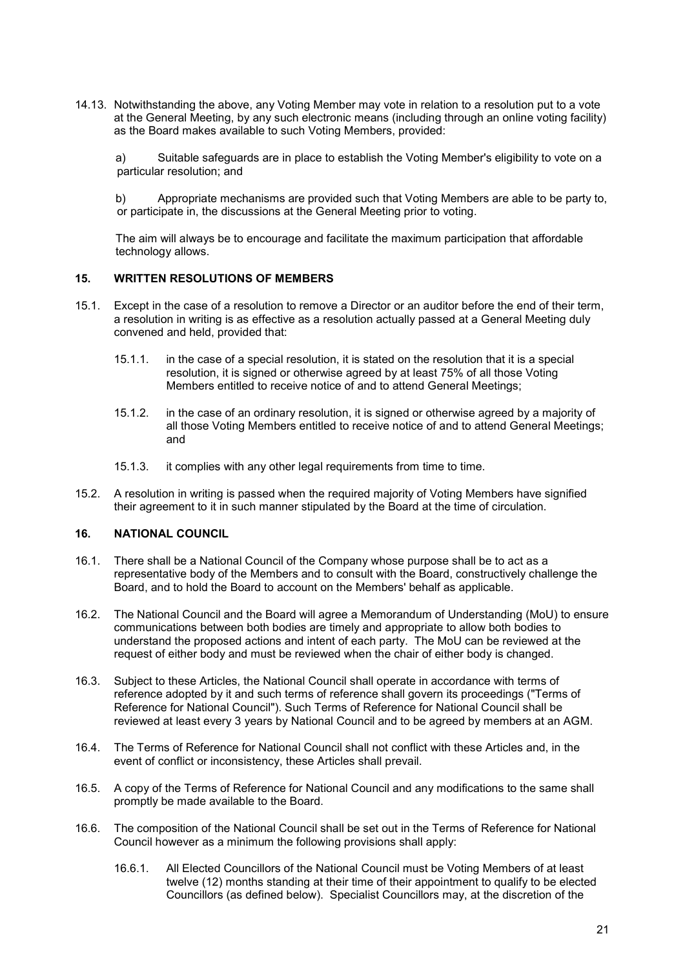14.13. Notwithstanding the above, any Voting Member may vote in relation to a resolution put to a vote at the General Meeting, by any such electronic means (including through an online voting facility) as the Board makes available to such Voting Members, provided:

a) Suitable safeguards are in place to establish the Voting Member's eligibility to vote on a particular resolution; and

b) Appropriate mechanisms are provided such that Voting Members are able to be party to, or participate in, the discussions at the General Meeting prior to voting.

The aim will always be to encourage and facilitate the maximum participation that affordable technology allows.

#### 15. WRITTEN RESOLUTIONS OF MEMBERS

- 15.1. Except in the case of a resolution to remove a Director or an auditor before the end of their term, a resolution in writing is as effective as a resolution actually passed at a General Meeting duly convened and held, provided that:
	- 15.1.1. in the case of a special resolution, it is stated on the resolution that it is a special resolution, it is signed or otherwise agreed by at least 75% of all those Voting Members entitled to receive notice of and to attend General Meetings;
	- 15.1.2. in the case of an ordinary resolution, it is signed or otherwise agreed by a majority of all those Voting Members entitled to receive notice of and to attend General Meetings; and
	- 15.1.3. it complies with any other legal requirements from time to time.
- 15.2. A resolution in writing is passed when the required majority of Voting Members have signified their agreement to it in such manner stipulated by the Board at the time of circulation.

## 16. NATIONAL COUNCIL

- 16.1. There shall be a National Council of the Company whose purpose shall be to act as a representative body of the Members and to consult with the Board, constructively challenge the Board, and to hold the Board to account on the Members' behalf as applicable.
- 16.2. The National Council and the Board will agree a Memorandum of Understanding (MoU) to ensure communications between both bodies are timely and appropriate to allow both bodies to understand the proposed actions and intent of each party. The MoU can be reviewed at the request of either body and must be reviewed when the chair of either body is changed.
- 16.3. Subject to these Articles, the National Council shall operate in accordance with terms of reference adopted by it and such terms of reference shall govern its proceedings ("Terms of Reference for National Council"). Such Terms of Reference for National Council shall be reviewed at least every 3 years by National Council and to be agreed by members at an AGM.
- 16.4. The Terms of Reference for National Council shall not conflict with these Articles and, in the event of conflict or inconsistency, these Articles shall prevail.
- 16.5. A copy of the Terms of Reference for National Council and any modifications to the same shall promptly be made available to the Board.
- 16.6. The composition of the National Council shall be set out in the Terms of Reference for National Council however as a minimum the following provisions shall apply:
	- 16.6.1. All Elected Councillors of the National Council must be Voting Members of at least twelve (12) months standing at their time of their appointment to qualify to be elected Councillors (as defined below). Specialist Councillors may, at the discretion of the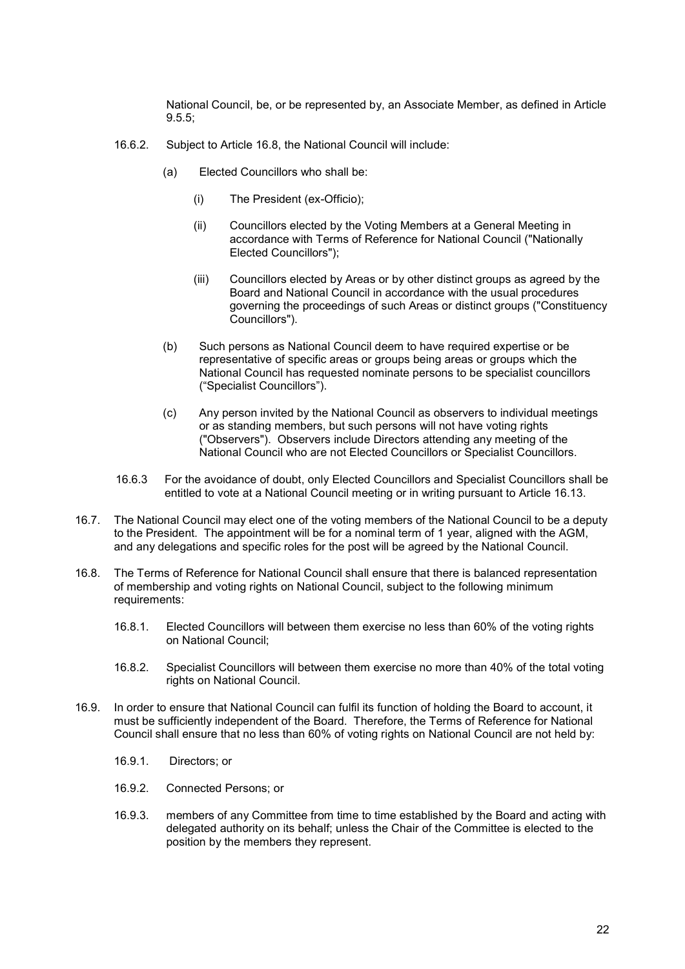National Council, be, or be represented by, an Associate Member, as defined in Article 9.5.5;

- 16.6.2. Subject to Article 16.8, the National Council will include:
	- (a) Elected Councillors who shall be:
		- (i) The President (ex-Officio);
		- (ii) Councillors elected by the Voting Members at a General Meeting in accordance with Terms of Reference for National Council ("Nationally Elected Councillors");
		- (iii) Councillors elected by Areas or by other distinct groups as agreed by the Board and National Council in accordance with the usual procedures governing the proceedings of such Areas or distinct groups ("Constituency Councillors").
	- (b) Such persons as National Council deem to have required expertise or be representative of specific areas or groups being areas or groups which the National Council has requested nominate persons to be specialist councillors ("Specialist Councillors").
	- (c) Any person invited by the National Council as observers to individual meetings or as standing members, but such persons will not have voting rights ("Observers"). Observers include Directors attending any meeting of the National Council who are not Elected Councillors or Specialist Councillors.
- 16.6.3 For the avoidance of doubt, only Elected Councillors and Specialist Councillors shall be entitled to vote at a National Council meeting or in writing pursuant to Article 16.13.
- 16.7. The National Council may elect one of the voting members of the National Council to be a deputy to the President. The appointment will be for a nominal term of 1 year, aligned with the AGM, and any delegations and specific roles for the post will be agreed by the National Council.
- 16.8. The Terms of Reference for National Council shall ensure that there is balanced representation of membership and voting rights on National Council, subject to the following minimum requirements:
	- 16.8.1. Elected Councillors will between them exercise no less than 60% of the voting rights on National Council;
	- 16.8.2. Specialist Councillors will between them exercise no more than 40% of the total voting rights on National Council.
- 16.9. In order to ensure that National Council can fulfil its function of holding the Board to account, it must be sufficiently independent of the Board. Therefore, the Terms of Reference for National Council shall ensure that no less than 60% of voting rights on National Council are not held by:
	- 16.9.1. Directors; or
	- 16.9.2. Connected Persons; or
	- 16.9.3. members of any Committee from time to time established by the Board and acting with delegated authority on its behalf; unless the Chair of the Committee is elected to the position by the members they represent.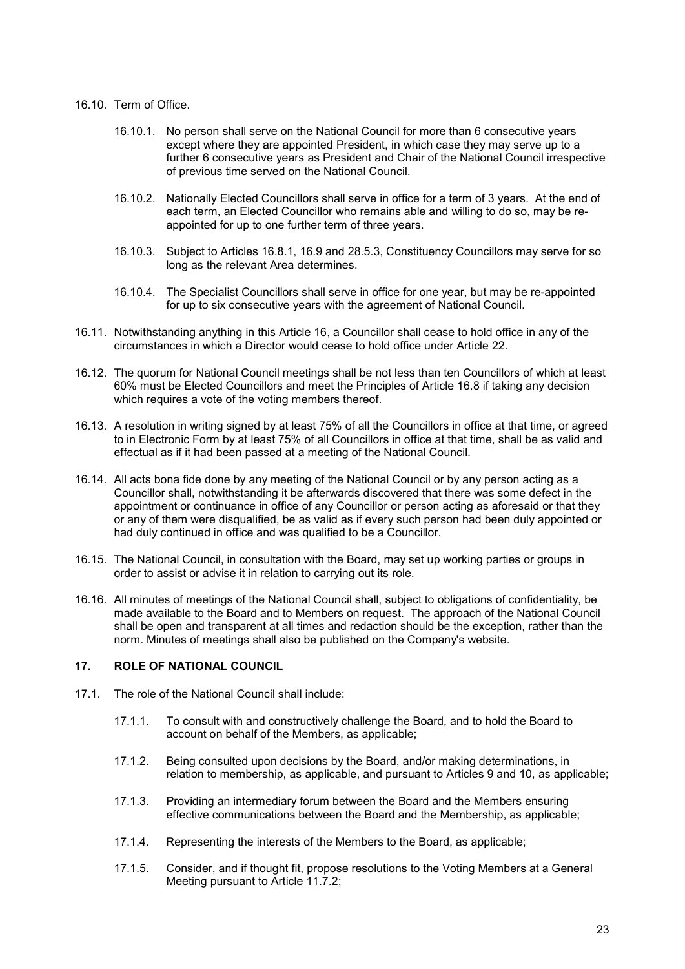#### 16.10. Term of Office.

- 16.10.1. No person shall serve on the National Council for more than 6 consecutive years except where they are appointed President, in which case they may serve up to a further 6 consecutive years as President and Chair of the National Council irrespective of previous time served on the National Council.
- 16.10.2. Nationally Elected Councillors shall serve in office for a term of 3 years. At the end of each term, an Elected Councillor who remains able and willing to do so, may be reappointed for up to one further term of three years.
- 16.10.3. Subject to Articles 16.8.1, 16.9 and 28.5.3, Constituency Councillors may serve for so long as the relevant Area determines.
- 16.10.4. The Specialist Councillors shall serve in office for one year, but may be re-appointed for up to six consecutive years with the agreement of National Council.
- 16.11. Notwithstanding anything in this Article 16, a Councillor shall cease to hold office in any of the circumstances in which a Director would cease to hold office under Article 22.
- 16.12. The quorum for National Council meetings shall be not less than ten Councillors of which at least 60% must be Elected Councillors and meet the Principles of Article 16.8 if taking any decision which requires a vote of the voting members thereof.
- 16.13. A resolution in writing signed by at least 75% of all the Councillors in office at that time, or agreed to in Electronic Form by at least 75% of all Councillors in office at that time, shall be as valid and effectual as if it had been passed at a meeting of the National Council.
- 16.14. All acts bona fide done by any meeting of the National Council or by any person acting as a Councillor shall, notwithstanding it be afterwards discovered that there was some defect in the appointment or continuance in office of any Councillor or person acting as aforesaid or that they or any of them were disqualified, be as valid as if every such person had been duly appointed or had duly continued in office and was qualified to be a Councillor.
- 16.15. The National Council, in consultation with the Board, may set up working parties or groups in order to assist or advise it in relation to carrying out its role.
- 16.16. All minutes of meetings of the National Council shall, subject to obligations of confidentiality, be made available to the Board and to Members on request. The approach of the National Council shall be open and transparent at all times and redaction should be the exception, rather than the norm. Minutes of meetings shall also be published on the Company's website.

## 17. ROLE OF NATIONAL COUNCIL

- 17.1. The role of the National Council shall include:
	- 17.1.1. To consult with and constructively challenge the Board, and to hold the Board to account on behalf of the Members, as applicable;
	- 17.1.2. Being consulted upon decisions by the Board, and/or making determinations, in relation to membership, as applicable, and pursuant to Articles 9 and 10, as applicable;
	- 17.1.3. Providing an intermediary forum between the Board and the Members ensuring effective communications between the Board and the Membership, as applicable;
	- 17.1.4. Representing the interests of the Members to the Board, as applicable;
	- 17.1.5. Consider, and if thought fit, propose resolutions to the Voting Members at a General Meeting pursuant to Article 11.7.2;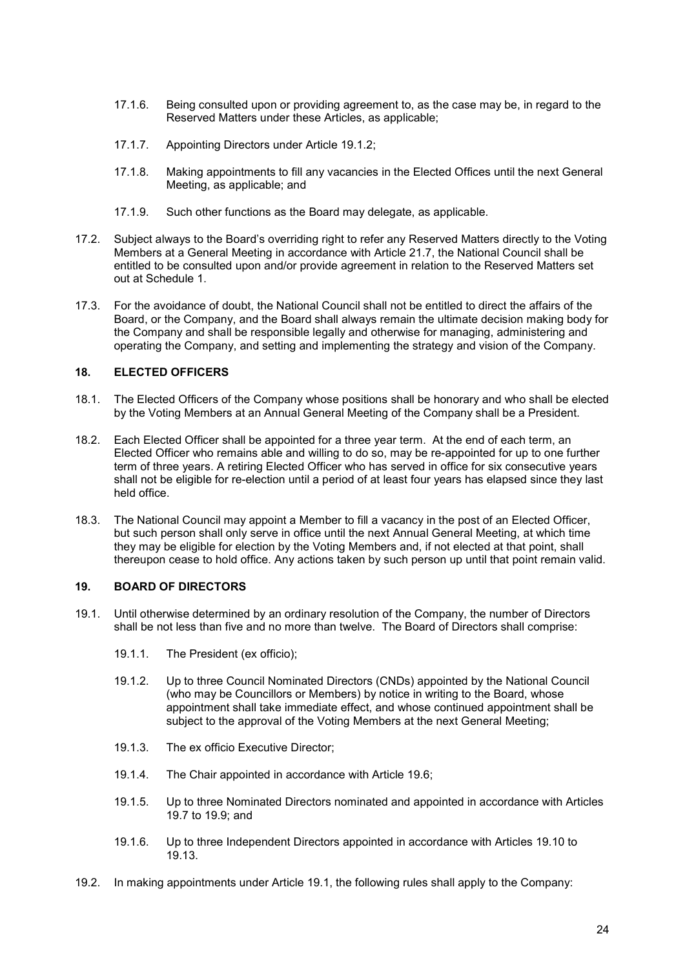- 17.1.6. Being consulted upon or providing agreement to, as the case may be, in regard to the Reserved Matters under these Articles, as applicable;
- 17.1.7. Appointing Directors under Article 19.1.2;
- 17.1.8. Making appointments to fill any vacancies in the Elected Offices until the next General Meeting, as applicable; and
- 17.1.9. Such other functions as the Board may delegate, as applicable.
- 17.2. Subject always to the Board's overriding right to refer any Reserved Matters directly to the Voting Members at a General Meeting in accordance with Article 21.7, the National Council shall be entitled to be consulted upon and/or provide agreement in relation to the Reserved Matters set out at Schedule 1.
- 17.3. For the avoidance of doubt, the National Council shall not be entitled to direct the affairs of the Board, or the Company, and the Board shall always remain the ultimate decision making body for the Company and shall be responsible legally and otherwise for managing, administering and operating the Company, and setting and implementing the strategy and vision of the Company.

## 18. ELECTED OFFICERS

- 18.1. The Elected Officers of the Company whose positions shall be honorary and who shall be elected by the Voting Members at an Annual General Meeting of the Company shall be a President.
- 18.2. Each Elected Officer shall be appointed for a three year term. At the end of each term, an Elected Officer who remains able and willing to do so, may be re-appointed for up to one further term of three years. A retiring Elected Officer who has served in office for six consecutive years shall not be eligible for re-election until a period of at least four years has elapsed since they last held office.
- 18.3. The National Council may appoint a Member to fill a vacancy in the post of an Elected Officer, but such person shall only serve in office until the next Annual General Meeting, at which time they may be eligible for election by the Voting Members and, if not elected at that point, shall thereupon cease to hold office. Any actions taken by such person up until that point remain valid.

## 19. BOARD OF DIRECTORS

- 19.1. Until otherwise determined by an ordinary resolution of the Company, the number of Directors shall be not less than five and no more than twelve. The Board of Directors shall comprise:
	- 19.1.1. The President (ex officio);
	- 19.1.2. Up to three Council Nominated Directors (CNDs) appointed by the National Council (who may be Councillors or Members) by notice in writing to the Board, whose appointment shall take immediate effect, and whose continued appointment shall be subject to the approval of the Voting Members at the next General Meeting;
	- 19.1.3. The ex officio Executive Director;
	- 19.1.4. The Chair appointed in accordance with Article 19.6;
	- 19.1.5. Up to three Nominated Directors nominated and appointed in accordance with Articles 19.7 to 19.9; and
	- 19.1.6. Up to three Independent Directors appointed in accordance with Articles 19.10 to 19.13.
- 19.2. In making appointments under Article 19.1, the following rules shall apply to the Company: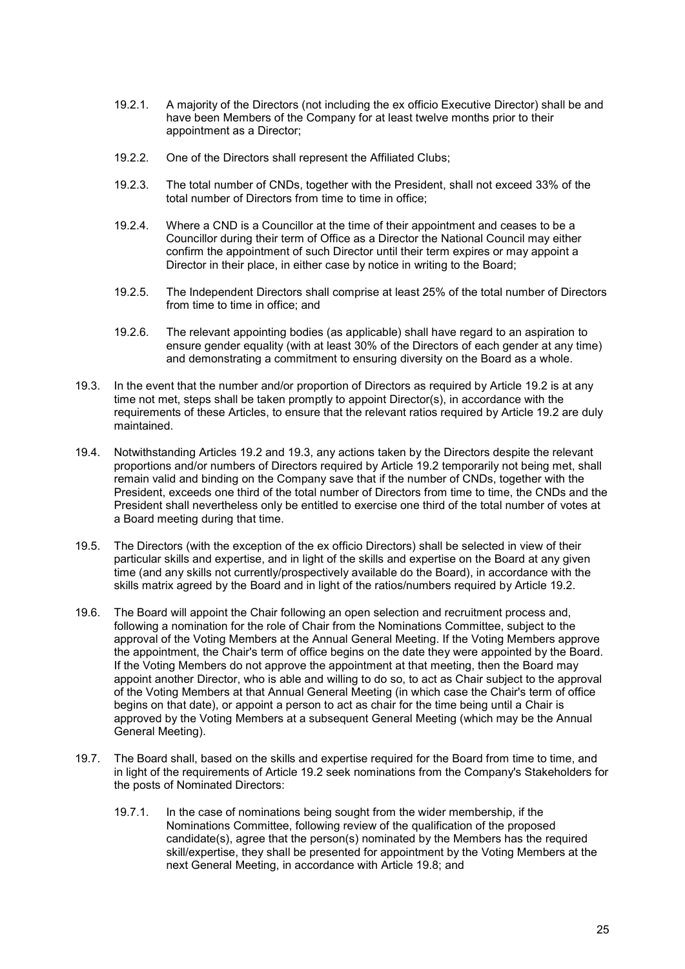- 19.2.1. A majority of the Directors (not including the ex officio Executive Director) shall be and have been Members of the Company for at least twelve months prior to their appointment as a Director;
- 19.2.2. One of the Directors shall represent the Affiliated Clubs;
- 19.2.3. The total number of CNDs, together with the President, shall not exceed 33% of the total number of Directors from time to time in office;
- 19.2.4. Where a CND is a Councillor at the time of their appointment and ceases to be a Councillor during their term of Office as a Director the National Council may either confirm the appointment of such Director until their term expires or may appoint a Director in their place, in either case by notice in writing to the Board;
- 19.2.5. The Independent Directors shall comprise at least 25% of the total number of Directors from time to time in office; and
- 19.2.6. The relevant appointing bodies (as applicable) shall have regard to an aspiration to ensure gender equality (with at least 30% of the Directors of each gender at any time) and demonstrating a commitment to ensuring diversity on the Board as a whole.
- 19.3. In the event that the number and/or proportion of Directors as required by Article 19.2 is at any time not met, steps shall be taken promptly to appoint Director(s), in accordance with the requirements of these Articles, to ensure that the relevant ratios required by Article 19.2 are duly maintained.
- 19.4. Notwithstanding Articles 19.2 and 19.3, any actions taken by the Directors despite the relevant proportions and/or numbers of Directors required by Article 19.2 temporarily not being met, shall remain valid and binding on the Company save that if the number of CNDs, together with the President, exceeds one third of the total number of Directors from time to time, the CNDs and the President shall nevertheless only be entitled to exercise one third of the total number of votes at a Board meeting during that time.
- 19.5. The Directors (with the exception of the ex officio Directors) shall be selected in view of their particular skills and expertise, and in light of the skills and expertise on the Board at any given time (and any skills not currently/prospectively available do the Board), in accordance with the skills matrix agreed by the Board and in light of the ratios/numbers required by Article 19.2.
- 19.6. The Board will appoint the Chair following an open selection and recruitment process and, following a nomination for the role of Chair from the Nominations Committee, subject to the approval of the Voting Members at the Annual General Meeting. If the Voting Members approve the appointment, the Chair's term of office begins on the date they were appointed by the Board. If the Voting Members do not approve the appointment at that meeting, then the Board may appoint another Director, who is able and willing to do so, to act as Chair subject to the approval of the Voting Members at that Annual General Meeting (in which case the Chair's term of office begins on that date), or appoint a person to act as chair for the time being until a Chair is approved by the Voting Members at a subsequent General Meeting (which may be the Annual General Meeting).
- 19.7. The Board shall, based on the skills and expertise required for the Board from time to time, and in light of the requirements of Article 19.2 seek nominations from the Company's Stakeholders for the posts of Nominated Directors:
	- 19.7.1. In the case of nominations being sought from the wider membership, if the Nominations Committee, following review of the qualification of the proposed candidate(s), agree that the person(s) nominated by the Members has the required skill/expertise, they shall be presented for appointment by the Voting Members at the next General Meeting, in accordance with Article 19.8; and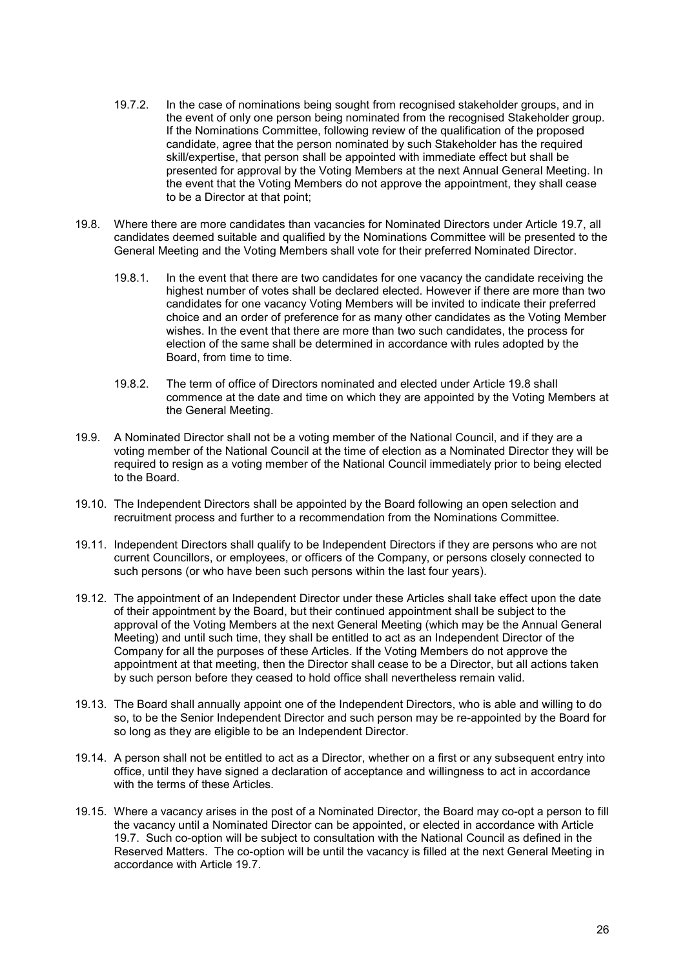- 19.7.2. In the case of nominations being sought from recognised stakeholder groups, and in the event of only one person being nominated from the recognised Stakeholder group. If the Nominations Committee, following review of the qualification of the proposed candidate, agree that the person nominated by such Stakeholder has the required skill/expertise, that person shall be appointed with immediate effect but shall be presented for approval by the Voting Members at the next Annual General Meeting. In the event that the Voting Members do not approve the appointment, they shall cease to be a Director at that point;
- 19.8. Where there are more candidates than vacancies for Nominated Directors under Article 19.7, all candidates deemed suitable and qualified by the Nominations Committee will be presented to the General Meeting and the Voting Members shall vote for their preferred Nominated Director.
	- 19.8.1. In the event that there are two candidates for one vacancy the candidate receiving the highest number of votes shall be declared elected. However if there are more than two candidates for one vacancy Voting Members will be invited to indicate their preferred choice and an order of preference for as many other candidates as the Voting Member wishes. In the event that there are more than two such candidates, the process for election of the same shall be determined in accordance with rules adopted by the Board, from time to time.
	- 19.8.2. The term of office of Directors nominated and elected under Article 19.8 shall commence at the date and time on which they are appointed by the Voting Members at the General Meeting.
- 19.9. A Nominated Director shall not be a voting member of the National Council, and if they are a voting member of the National Council at the time of election as a Nominated Director they will be required to resign as a voting member of the National Council immediately prior to being elected to the Board.
- 19.10. The Independent Directors shall be appointed by the Board following an open selection and recruitment process and further to a recommendation from the Nominations Committee.
- 19.11. Independent Directors shall qualify to be Independent Directors if they are persons who are not current Councillors, or employees, or officers of the Company, or persons closely connected to such persons (or who have been such persons within the last four years).
- 19.12. The appointment of an Independent Director under these Articles shall take effect upon the date of their appointment by the Board, but their continued appointment shall be subject to the approval of the Voting Members at the next General Meeting (which may be the Annual General Meeting) and until such time, they shall be entitled to act as an Independent Director of the Company for all the purposes of these Articles. If the Voting Members do not approve the appointment at that meeting, then the Director shall cease to be a Director, but all actions taken by such person before they ceased to hold office shall nevertheless remain valid.
- 19.13. The Board shall annually appoint one of the Independent Directors, who is able and willing to do so, to be the Senior Independent Director and such person may be re-appointed by the Board for so long as they are eligible to be an Independent Director.
- 19.14. A person shall not be entitled to act as a Director, whether on a first or any subsequent entry into office, until they have signed a declaration of acceptance and willingness to act in accordance with the terms of these Articles.
- 19.15. Where a vacancy arises in the post of a Nominated Director, the Board may co-opt a person to fill the vacancy until a Nominated Director can be appointed, or elected in accordance with Article 19.7. Such co-option will be subject to consultation with the National Council as defined in the Reserved Matters. The co-option will be until the vacancy is filled at the next General Meeting in accordance with Article 19.7.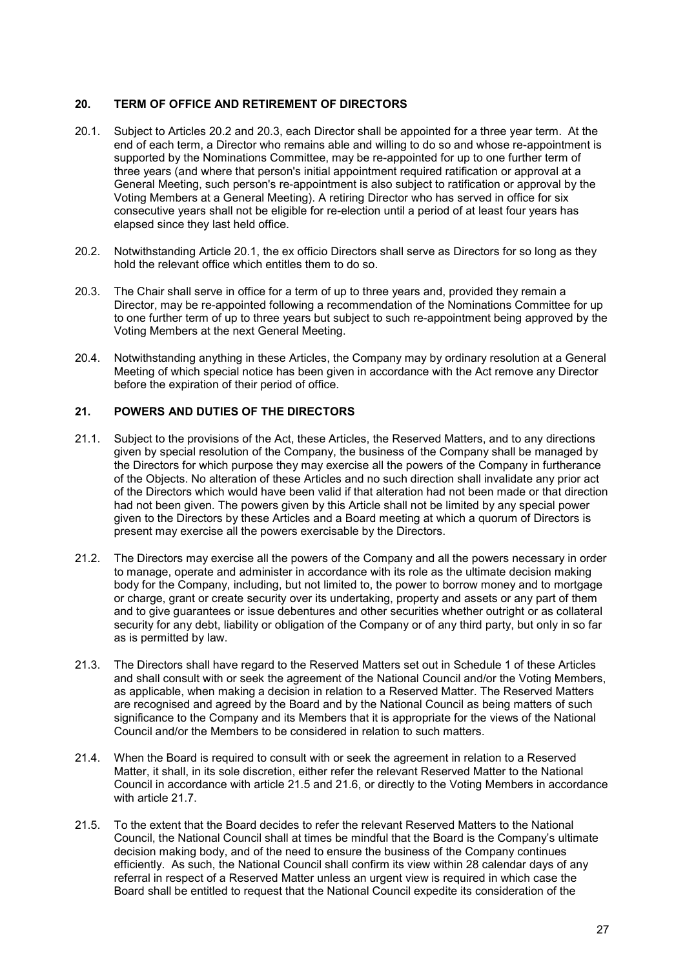## 20. TERM OF OFFICE AND RETIREMENT OF DIRECTORS

- 20.1. Subject to Articles 20.2 and 20.3, each Director shall be appointed for a three year term. At the end of each term, a Director who remains able and willing to do so and whose re-appointment is supported by the Nominations Committee, may be re-appointed for up to one further term of three years (and where that person's initial appointment required ratification or approval at a General Meeting, such person's re-appointment is also subject to ratification or approval by the Voting Members at a General Meeting). A retiring Director who has served in office for six consecutive years shall not be eligible for re-election until a period of at least four years has elapsed since they last held office.
- 20.2. Notwithstanding Article 20.1, the ex officio Directors shall serve as Directors for so long as they hold the relevant office which entitles them to do so.
- 20.3. The Chair shall serve in office for a term of up to three years and, provided they remain a Director, may be re-appointed following a recommendation of the Nominations Committee for up to one further term of up to three years but subject to such re-appointment being approved by the Voting Members at the next General Meeting.
- 20.4. Notwithstanding anything in these Articles, the Company may by ordinary resolution at a General Meeting of which special notice has been given in accordance with the Act remove any Director before the expiration of their period of office.

# 21. POWERS AND DUTIES OF THE DIRECTORS

- 21.1. Subject to the provisions of the Act, these Articles, the Reserved Matters, and to any directions given by special resolution of the Company, the business of the Company shall be managed by the Directors for which purpose they may exercise all the powers of the Company in furtherance of the Objects. No alteration of these Articles and no such direction shall invalidate any prior act of the Directors which would have been valid if that alteration had not been made or that direction had not been given. The powers given by this Article shall not be limited by any special power given to the Directors by these Articles and a Board meeting at which a quorum of Directors is present may exercise all the powers exercisable by the Directors.
- 21.2. The Directors may exercise all the powers of the Company and all the powers necessary in order to manage, operate and administer in accordance with its role as the ultimate decision making body for the Company, including, but not limited to, the power to borrow money and to mortgage or charge, grant or create security over its undertaking, property and assets or any part of them and to give guarantees or issue debentures and other securities whether outright or as collateral security for any debt, liability or obligation of the Company or of any third party, but only in so far as is permitted by law.
- 21.3. The Directors shall have regard to the Reserved Matters set out in Schedule 1 of these Articles and shall consult with or seek the agreement of the National Council and/or the Voting Members, as applicable, when making a decision in relation to a Reserved Matter. The Reserved Matters are recognised and agreed by the Board and by the National Council as being matters of such significance to the Company and its Members that it is appropriate for the views of the National Council and/or the Members to be considered in relation to such matters.
- 21.4. When the Board is required to consult with or seek the agreement in relation to a Reserved Matter, it shall, in its sole discretion, either refer the relevant Reserved Matter to the National Council in accordance with article 21.5 and 21.6, or directly to the Voting Members in accordance with article 21.7.
- 21.5. To the extent that the Board decides to refer the relevant Reserved Matters to the National Council, the National Council shall at times be mindful that the Board is the Company's ultimate decision making body, and of the need to ensure the business of the Company continues efficiently. As such, the National Council shall confirm its view within 28 calendar days of any referral in respect of a Reserved Matter unless an urgent view is required in which case the Board shall be entitled to request that the National Council expedite its consideration of the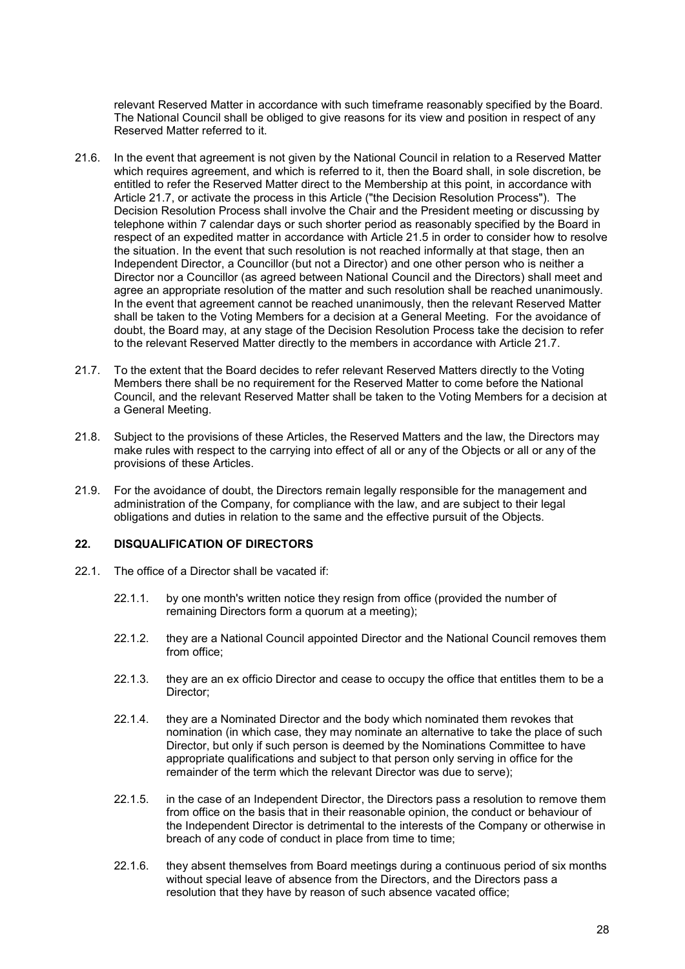relevant Reserved Matter in accordance with such timeframe reasonably specified by the Board. The National Council shall be obliged to give reasons for its view and position in respect of any Reserved Matter referred to it.

- 21.6. In the event that agreement is not given by the National Council in relation to a Reserved Matter which requires agreement, and which is referred to it, then the Board shall, in sole discretion, be entitled to refer the Reserved Matter direct to the Membership at this point, in accordance with Article 21.7, or activate the process in this Article ("the Decision Resolution Process"). The Decision Resolution Process shall involve the Chair and the President meeting or discussing by telephone within 7 calendar days or such shorter period as reasonably specified by the Board in respect of an expedited matter in accordance with Article 21.5 in order to consider how to resolve the situation. In the event that such resolution is not reached informally at that stage, then an Independent Director, a Councillor (but not a Director) and one other person who is neither a Director nor a Councillor (as agreed between National Council and the Directors) shall meet and agree an appropriate resolution of the matter and such resolution shall be reached unanimously. In the event that agreement cannot be reached unanimously, then the relevant Reserved Matter shall be taken to the Voting Members for a decision at a General Meeting. For the avoidance of doubt, the Board may, at any stage of the Decision Resolution Process take the decision to refer to the relevant Reserved Matter directly to the members in accordance with Article 21.7.
- 21.7. To the extent that the Board decides to refer relevant Reserved Matters directly to the Voting Members there shall be no requirement for the Reserved Matter to come before the National Council, and the relevant Reserved Matter shall be taken to the Voting Members for a decision at a General Meeting.
- 21.8. Subject to the provisions of these Articles, the Reserved Matters and the law, the Directors may make rules with respect to the carrying into effect of all or any of the Objects or all or any of the provisions of these Articles.
- 21.9. For the avoidance of doubt, the Directors remain legally responsible for the management and administration of the Company, for compliance with the law, and are subject to their legal obligations and duties in relation to the same and the effective pursuit of the Objects.

## 22. DISQUALIFICATION OF DIRECTORS

- 22.1. The office of a Director shall be vacated if:
	- 22.1.1. by one month's written notice they resign from office (provided the number of remaining Directors form a quorum at a meeting);
	- 22.1.2. they are a National Council appointed Director and the National Council removes them from office;
	- 22.1.3. they are an ex officio Director and cease to occupy the office that entitles them to be a Director;
	- 22.1.4. they are a Nominated Director and the body which nominated them revokes that nomination (in which case, they may nominate an alternative to take the place of such Director, but only if such person is deemed by the Nominations Committee to have appropriate qualifications and subject to that person only serving in office for the remainder of the term which the relevant Director was due to serve);
	- 22.1.5. in the case of an Independent Director, the Directors pass a resolution to remove them from office on the basis that in their reasonable opinion, the conduct or behaviour of the Independent Director is detrimental to the interests of the Company or otherwise in breach of any code of conduct in place from time to time;
	- 22.1.6. they absent themselves from Board meetings during a continuous period of six months without special leave of absence from the Directors, and the Directors pass a resolution that they have by reason of such absence vacated office;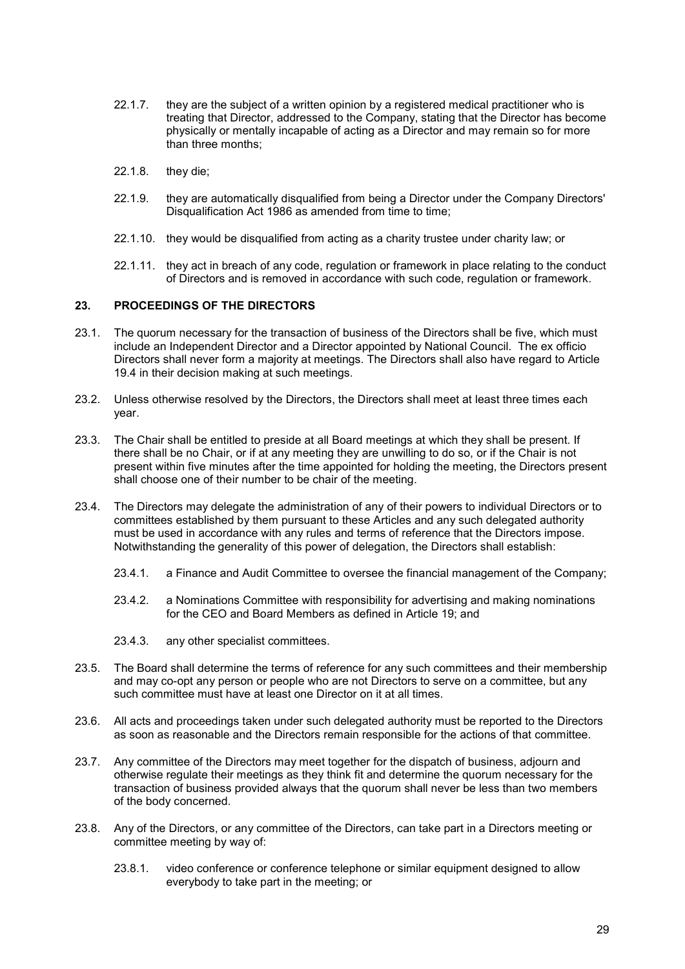- 22.1.7. they are the subject of a written opinion by a registered medical practitioner who is treating that Director, addressed to the Company, stating that the Director has become physically or mentally incapable of acting as a Director and may remain so for more than three months;
- 22.1.8. they die;
- 22.1.9. they are automatically disqualified from being a Director under the Company Directors' Disqualification Act 1986 as amended from time to time;
- 22.1.10. they would be disqualified from acting as a charity trustee under charity law; or
- 22.1.11. they act in breach of any code, regulation or framework in place relating to the conduct of Directors and is removed in accordance with such code, regulation or framework.

## 23. PROCEEDINGS OF THE DIRECTORS

- 23.1. The quorum necessary for the transaction of business of the Directors shall be five, which must include an Independent Director and a Director appointed by National Council. The ex officio Directors shall never form a majority at meetings. The Directors shall also have regard to Article 19.4 in their decision making at such meetings.
- 23.2. Unless otherwise resolved by the Directors, the Directors shall meet at least three times each year.
- 23.3. The Chair shall be entitled to preside at all Board meetings at which they shall be present. If there shall be no Chair, or if at any meeting they are unwilling to do so, or if the Chair is not present within five minutes after the time appointed for holding the meeting, the Directors present shall choose one of their number to be chair of the meeting.
- 23.4. The Directors may delegate the administration of any of their powers to individual Directors or to committees established by them pursuant to these Articles and any such delegated authority must be used in accordance with any rules and terms of reference that the Directors impose. Notwithstanding the generality of this power of delegation, the Directors shall establish:
	- 23.4.1. a Finance and Audit Committee to oversee the financial management of the Company;
	- 23.4.2. a Nominations Committee with responsibility for advertising and making nominations for the CEO and Board Members as defined in Article 19; and
	- 23.4.3. any other specialist committees.
- 23.5. The Board shall determine the terms of reference for any such committees and their membership and may co-opt any person or people who are not Directors to serve on a committee, but any such committee must have at least one Director on it at all times.
- 23.6. All acts and proceedings taken under such delegated authority must be reported to the Directors as soon as reasonable and the Directors remain responsible for the actions of that committee.
- 23.7. Any committee of the Directors may meet together for the dispatch of business, adjourn and otherwise regulate their meetings as they think fit and determine the quorum necessary for the transaction of business provided always that the quorum shall never be less than two members of the body concerned.
- 23.8. Any of the Directors, or any committee of the Directors, can take part in a Directors meeting or committee meeting by way of:
	- 23.8.1. video conference or conference telephone or similar equipment designed to allow everybody to take part in the meeting; or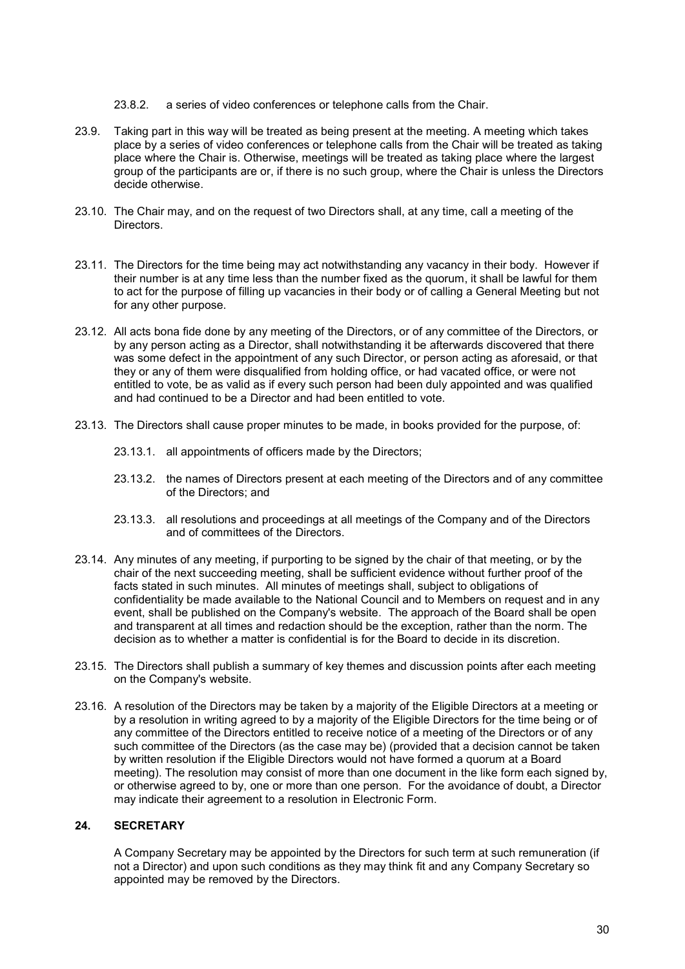- 23.8.2. a series of video conferences or telephone calls from the Chair.
- 23.9. Taking part in this way will be treated as being present at the meeting. A meeting which takes place by a series of video conferences or telephone calls from the Chair will be treated as taking place where the Chair is. Otherwise, meetings will be treated as taking place where the largest group of the participants are or, if there is no such group, where the Chair is unless the Directors decide otherwise.
- 23.10. The Chair may, and on the request of two Directors shall, at any time, call a meeting of the Directors.
- 23.11. The Directors for the time being may act notwithstanding any vacancy in their body. However if their number is at any time less than the number fixed as the quorum, it shall be lawful for them to act for the purpose of filling up vacancies in their body or of calling a General Meeting but not for any other purpose.
- 23.12. All acts bona fide done by any meeting of the Directors, or of any committee of the Directors, or by any person acting as a Director, shall notwithstanding it be afterwards discovered that there was some defect in the appointment of any such Director, or person acting as aforesaid, or that they or any of them were disqualified from holding office, or had vacated office, or were not entitled to vote, be as valid as if every such person had been duly appointed and was qualified and had continued to be a Director and had been entitled to vote.
- 23.13. The Directors shall cause proper minutes to be made, in books provided for the purpose, of:
	- 23.13.1. all appointments of officers made by the Directors;
	- 23.13.2. the names of Directors present at each meeting of the Directors and of any committee of the Directors; and
	- 23.13.3. all resolutions and proceedings at all meetings of the Company and of the Directors and of committees of the Directors.
- 23.14. Any minutes of any meeting, if purporting to be signed by the chair of that meeting, or by the chair of the next succeeding meeting, shall be sufficient evidence without further proof of the facts stated in such minutes. All minutes of meetings shall, subject to obligations of confidentiality be made available to the National Council and to Members on request and in any event, shall be published on the Company's website. The approach of the Board shall be open and transparent at all times and redaction should be the exception, rather than the norm. The decision as to whether a matter is confidential is for the Board to decide in its discretion.
- 23.15. The Directors shall publish a summary of key themes and discussion points after each meeting on the Company's website.
- 23.16. A resolution of the Directors may be taken by a majority of the Eligible Directors at a meeting or by a resolution in writing agreed to by a majority of the Eligible Directors for the time being or of any committee of the Directors entitled to receive notice of a meeting of the Directors or of any such committee of the Directors (as the case may be) (provided that a decision cannot be taken by written resolution if the Eligible Directors would not have formed a quorum at a Board meeting). The resolution may consist of more than one document in the like form each signed by, or otherwise agreed to by, one or more than one person. For the avoidance of doubt, a Director may indicate their agreement to a resolution in Electronic Form.

# 24. SECRETARY

A Company Secretary may be appointed by the Directors for such term at such remuneration (if not a Director) and upon such conditions as they may think fit and any Company Secretary so appointed may be removed by the Directors.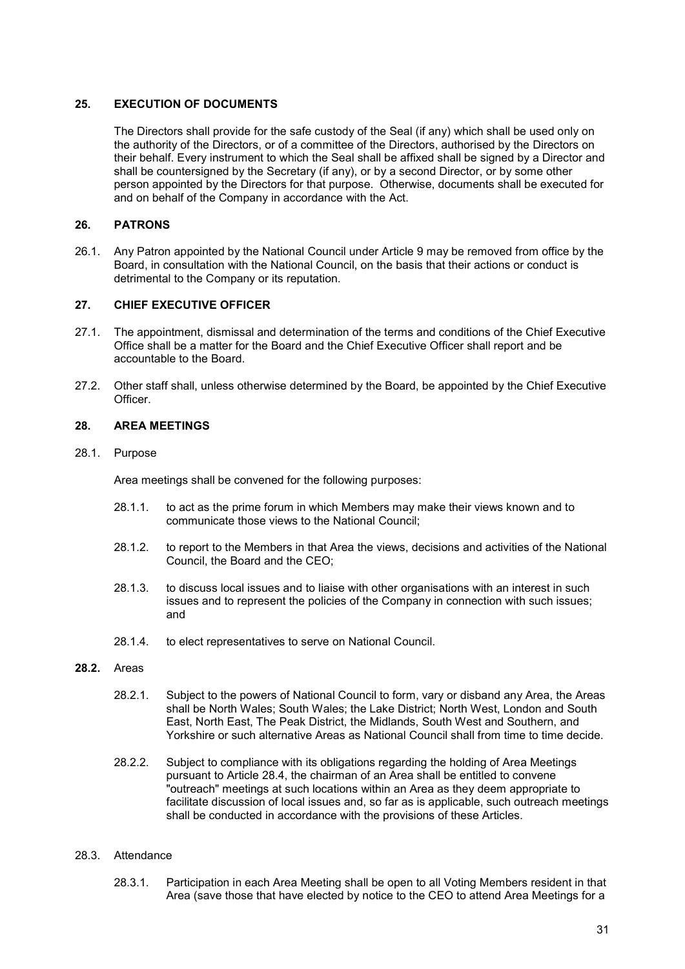## 25. EXECUTION OF DOCUMENTS

The Directors shall provide for the safe custody of the Seal (if any) which shall be used only on the authority of the Directors, or of a committee of the Directors, authorised by the Directors on their behalf. Every instrument to which the Seal shall be affixed shall be signed by a Director and shall be countersigned by the Secretary (if any), or by a second Director, or by some other person appointed by the Directors for that purpose. Otherwise, documents shall be executed for and on behalf of the Company in accordance with the Act.

## 26. PATRONS

26.1. Any Patron appointed by the National Council under Article 9 may be removed from office by the Board, in consultation with the National Council, on the basis that their actions or conduct is detrimental to the Company or its reputation.

# 27. CHIEF EXECUTIVE OFFICER

- 27.1. The appointment, dismissal and determination of the terms and conditions of the Chief Executive Office shall be a matter for the Board and the Chief Executive Officer shall report and be accountable to the Board.
- 27.2. Other staff shall, unless otherwise determined by the Board, be appointed by the Chief Executive **Officer**

# 28. AREA MEETINGS

#### 28.1. Purpose

Area meetings shall be convened for the following purposes:

- 28.1.1. to act as the prime forum in which Members may make their views known and to communicate those views to the National Council;
- 28.1.2. to report to the Members in that Area the views, decisions and activities of the National Council, the Board and the CEO;
- 28.1.3. to discuss local issues and to liaise with other organisations with an interest in such issues and to represent the policies of the Company in connection with such issues; and
- 28.1.4. to elect representatives to serve on National Council.

## 28.2. Areas

- 28.2.1. Subject to the powers of National Council to form, vary or disband any Area, the Areas shall be North Wales; South Wales; the Lake District; North West, London and South East, North East, The Peak District, the Midlands, South West and Southern, and Yorkshire or such alternative Areas as National Council shall from time to time decide.
- 28.2.2. Subject to compliance with its obligations regarding the holding of Area Meetings pursuant to Article 28.4, the chairman of an Area shall be entitled to convene "outreach" meetings at such locations within an Area as they deem appropriate to facilitate discussion of local issues and, so far as is applicable, such outreach meetings shall be conducted in accordance with the provisions of these Articles.

## 28.3. Attendance

28.3.1. Participation in each Area Meeting shall be open to all Voting Members resident in that Area (save those that have elected by notice to the CEO to attend Area Meetings for a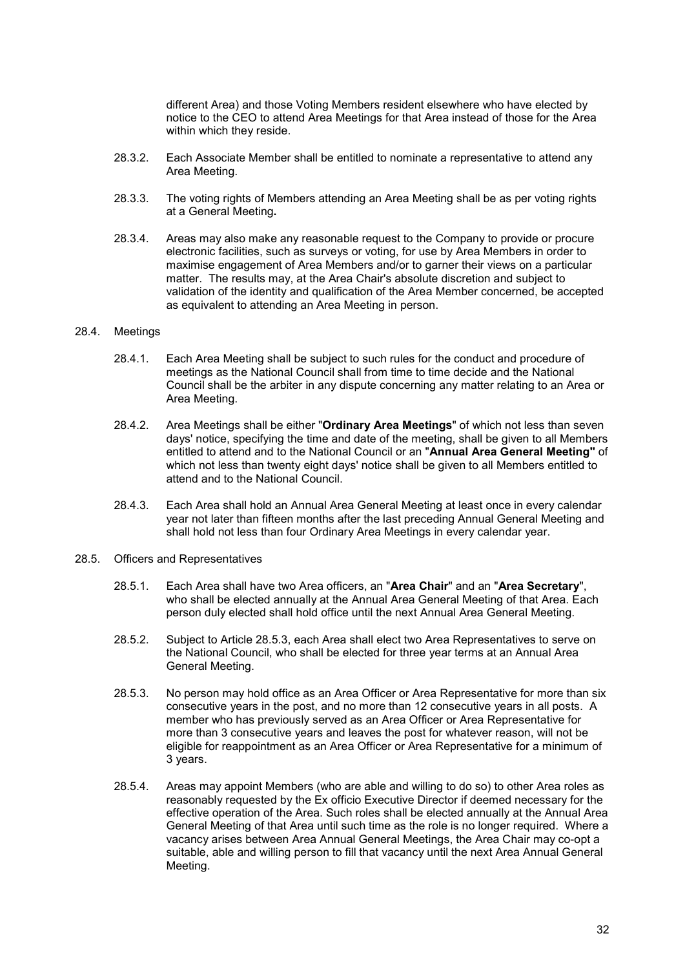different Area) and those Voting Members resident elsewhere who have elected by notice to the CEO to attend Area Meetings for that Area instead of those for the Area within which they reside.

- 28.3.2. Each Associate Member shall be entitled to nominate a representative to attend any Area Meeting.
- 28.3.3. The voting rights of Members attending an Area Meeting shall be as per voting rights at a General Meeting.
- 28.3.4. Areas may also make any reasonable request to the Company to provide or procure electronic facilities, such as surveys or voting, for use by Area Members in order to maximise engagement of Area Members and/or to garner their views on a particular matter. The results may, at the Area Chair's absolute discretion and subject to validation of the identity and qualification of the Area Member concerned, be accepted as equivalent to attending an Area Meeting in person.

#### 28.4. Meetings

- 28.4.1. Each Area Meeting shall be subject to such rules for the conduct and procedure of meetings as the National Council shall from time to time decide and the National Council shall be the arbiter in any dispute concerning any matter relating to an Area or Area Meeting.
- 28.4.2. Area Meetings shall be either "Ordinary Area Meetings" of which not less than seven days' notice, specifying the time and date of the meeting, shall be given to all Members entitled to attend and to the National Council or an "Annual Area General Meeting" of which not less than twenty eight days' notice shall be given to all Members entitled to attend and to the National Council.
- 28.4.3. Each Area shall hold an Annual Area General Meeting at least once in every calendar year not later than fifteen months after the last preceding Annual General Meeting and shall hold not less than four Ordinary Area Meetings in every calendar year.
- 28.5. Officers and Representatives
	- 28.5.1. Each Area shall have two Area officers, an "Area Chair" and an "Area Secretary", who shall be elected annually at the Annual Area General Meeting of that Area. Each person duly elected shall hold office until the next Annual Area General Meeting.
	- 28.5.2. Subject to Article 28.5.3, each Area shall elect two Area Representatives to serve on the National Council, who shall be elected for three year terms at an Annual Area General Meeting.
	- 28.5.3. No person may hold office as an Area Officer or Area Representative for more than six consecutive years in the post, and no more than 12 consecutive years in all posts. A member who has previously served as an Area Officer or Area Representative for more than 3 consecutive years and leaves the post for whatever reason, will not be eligible for reappointment as an Area Officer or Area Representative for a minimum of 3 years.
	- 28.5.4. Areas may appoint Members (who are able and willing to do so) to other Area roles as reasonably requested by the Ex officio Executive Director if deemed necessary for the effective operation of the Area. Such roles shall be elected annually at the Annual Area General Meeting of that Area until such time as the role is no longer required. Where a vacancy arises between Area Annual General Meetings, the Area Chair may co-opt a suitable, able and willing person to fill that vacancy until the next Area Annual General Meeting.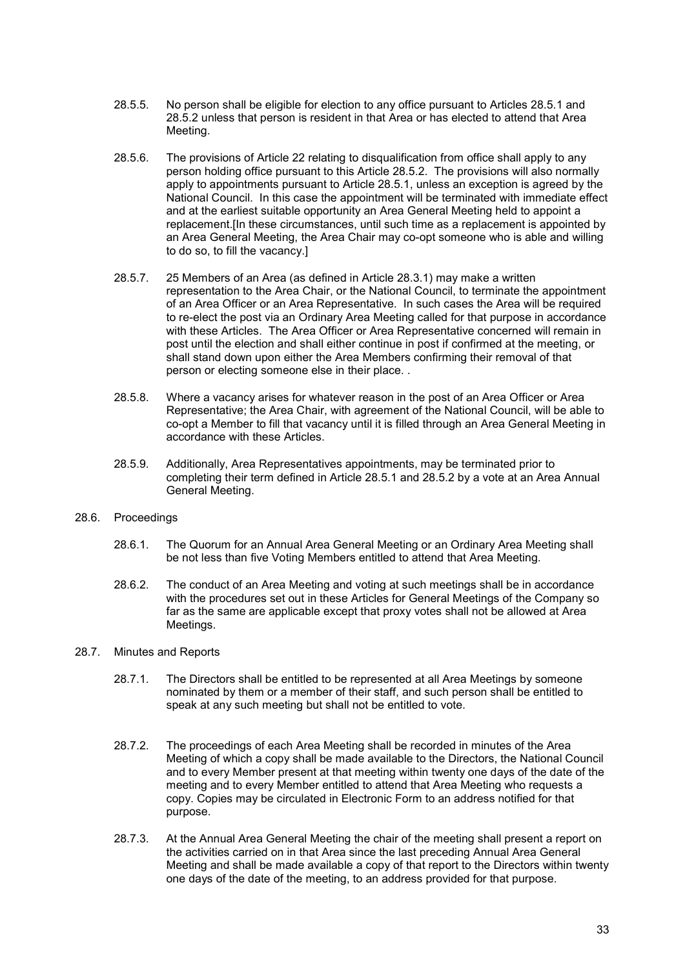- 28.5.5. No person shall be eligible for election to any office pursuant to Articles 28.5.1 and 28.5.2 unless that person is resident in that Area or has elected to attend that Area Meeting.
- 28.5.6. The provisions of Article 22 relating to disqualification from office shall apply to any person holding office pursuant to this Article 28.5.2. The provisions will also normally apply to appointments pursuant to Article 28.5.1, unless an exception is agreed by the National Council. In this case the appointment will be terminated with immediate effect and at the earliest suitable opportunity an Area General Meeting held to appoint a replacement.[In these circumstances, until such time as a replacement is appointed by an Area General Meeting, the Area Chair may co-opt someone who is able and willing to do so, to fill the vacancy.]
- 28.5.7. 25 Members of an Area (as defined in Article 28.3.1) may make a written representation to the Area Chair, or the National Council, to terminate the appointment of an Area Officer or an Area Representative. In such cases the Area will be required to re-elect the post via an Ordinary Area Meeting called for that purpose in accordance with these Articles. The Area Officer or Area Representative concerned will remain in post until the election and shall either continue in post if confirmed at the meeting, or shall stand down upon either the Area Members confirming their removal of that person or electing someone else in their place. .
- 28.5.8. Where a vacancy arises for whatever reason in the post of an Area Officer or Area Representative; the Area Chair, with agreement of the National Council, will be able to co-opt a Member to fill that vacancy until it is filled through an Area General Meeting in accordance with these Articles.
- 28.5.9. Additionally, Area Representatives appointments, may be terminated prior to completing their term defined in Article 28.5.1 and 28.5.2 by a vote at an Area Annual General Meeting.
- 28.6. Proceedings
	- 28.6.1. The Quorum for an Annual Area General Meeting or an Ordinary Area Meeting shall be not less than five Voting Members entitled to attend that Area Meeting.
	- 28.6.2. The conduct of an Area Meeting and voting at such meetings shall be in accordance with the procedures set out in these Articles for General Meetings of the Company so far as the same are applicable except that proxy votes shall not be allowed at Area Meetings.
- 28.7. Minutes and Reports
	- 28.7.1. The Directors shall be entitled to be represented at all Area Meetings by someone nominated by them or a member of their staff, and such person shall be entitled to speak at any such meeting but shall not be entitled to vote.
	- 28.7.2. The proceedings of each Area Meeting shall be recorded in minutes of the Area Meeting of which a copy shall be made available to the Directors, the National Council and to every Member present at that meeting within twenty one days of the date of the meeting and to every Member entitled to attend that Area Meeting who requests a copy. Copies may be circulated in Electronic Form to an address notified for that purpose.
	- 28.7.3. At the Annual Area General Meeting the chair of the meeting shall present a report on the activities carried on in that Area since the last preceding Annual Area General Meeting and shall be made available a copy of that report to the Directors within twenty one days of the date of the meeting, to an address provided for that purpose.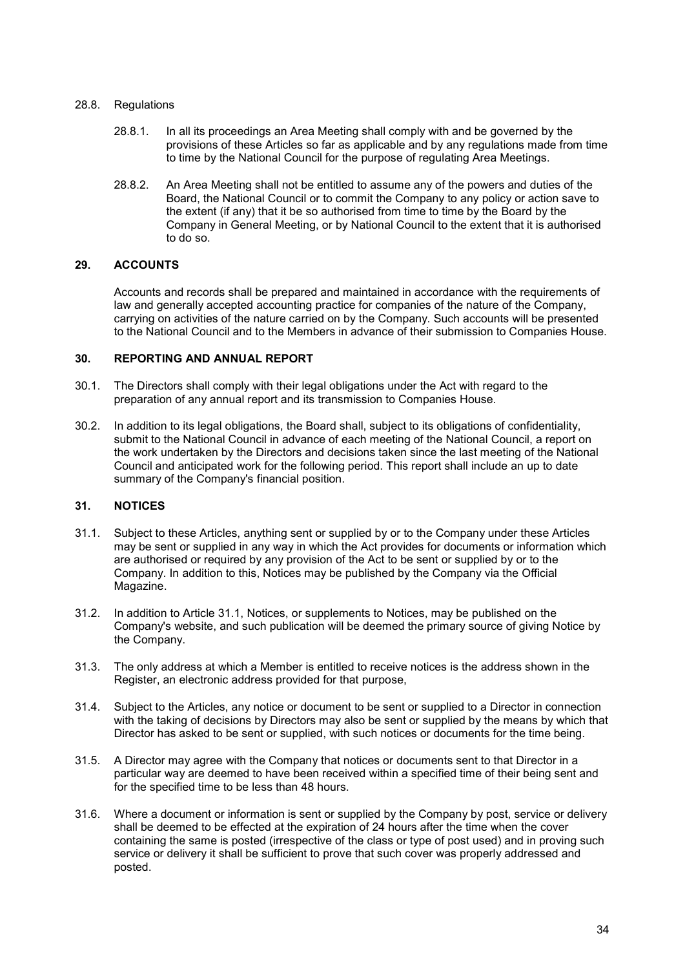#### 28.8. Regulations

- 28.8.1. In all its proceedings an Area Meeting shall comply with and be governed by the provisions of these Articles so far as applicable and by any regulations made from time to time by the National Council for the purpose of regulating Area Meetings.
- 28.8.2. An Area Meeting shall not be entitled to assume any of the powers and duties of the Board, the National Council or to commit the Company to any policy or action save to the extent (if any) that it be so authorised from time to time by the Board by the Company in General Meeting, or by National Council to the extent that it is authorised to do so.

## 29. ACCOUNTS

Accounts and records shall be prepared and maintained in accordance with the requirements of law and generally accepted accounting practice for companies of the nature of the Company, carrying on activities of the nature carried on by the Company. Such accounts will be presented to the National Council and to the Members in advance of their submission to Companies House.

#### 30. REPORTING AND ANNUAL REPORT

- 30.1. The Directors shall comply with their legal obligations under the Act with regard to the preparation of any annual report and its transmission to Companies House.
- 30.2. In addition to its legal obligations, the Board shall, subject to its obligations of confidentiality, submit to the National Council in advance of each meeting of the National Council, a report on the work undertaken by the Directors and decisions taken since the last meeting of the National Council and anticipated work for the following period. This report shall include an up to date summary of the Company's financial position.

## 31. NOTICES

- 31.1. Subject to these Articles, anything sent or supplied by or to the Company under these Articles may be sent or supplied in any way in which the Act provides for documents or information which are authorised or required by any provision of the Act to be sent or supplied by or to the Company. In addition to this, Notices may be published by the Company via the Official Magazine.
- 31.2. In addition to Article 31.1, Notices, or supplements to Notices, may be published on the Company's website, and such publication will be deemed the primary source of giving Notice by the Company.
- 31.3. The only address at which a Member is entitled to receive notices is the address shown in the Register, an electronic address provided for that purpose,
- 31.4. Subject to the Articles, any notice or document to be sent or supplied to a Director in connection with the taking of decisions by Directors may also be sent or supplied by the means by which that Director has asked to be sent or supplied, with such notices or documents for the time being.
- 31.5. A Director may agree with the Company that notices or documents sent to that Director in a particular way are deemed to have been received within a specified time of their being sent and for the specified time to be less than 48 hours.
- 31.6. Where a document or information is sent or supplied by the Company by post, service or delivery shall be deemed to be effected at the expiration of 24 hours after the time when the cover containing the same is posted (irrespective of the class or type of post used) and in proving such service or delivery it shall be sufficient to prove that such cover was properly addressed and posted.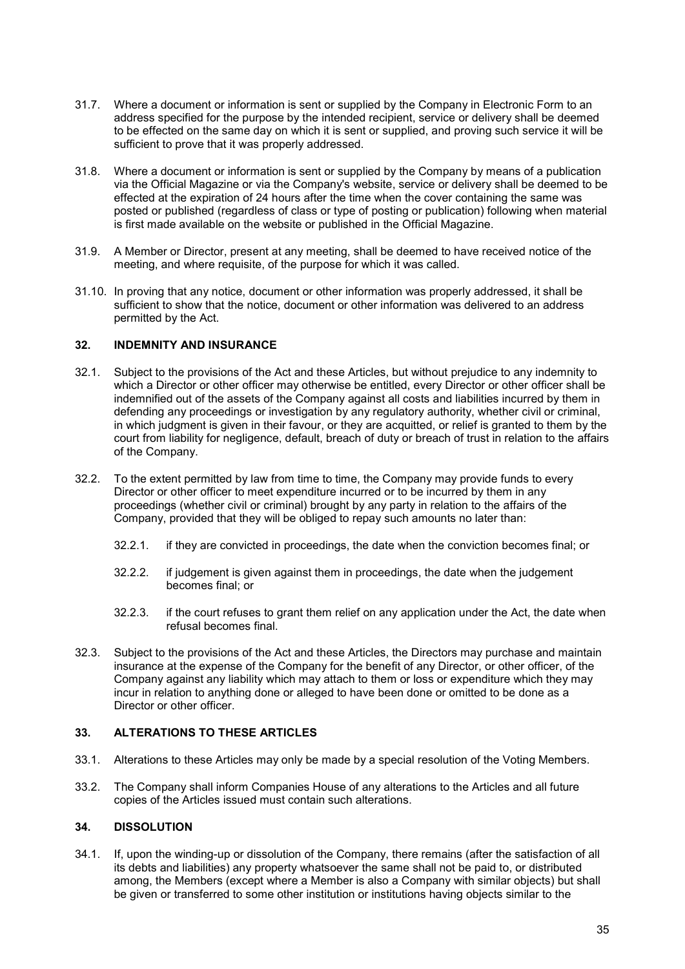- 31.7. Where a document or information is sent or supplied by the Company in Electronic Form to an address specified for the purpose by the intended recipient, service or delivery shall be deemed to be effected on the same day on which it is sent or supplied, and proving such service it will be sufficient to prove that it was properly addressed.
- 31.8. Where a document or information is sent or supplied by the Company by means of a publication via the Official Magazine or via the Company's website, service or delivery shall be deemed to be effected at the expiration of 24 hours after the time when the cover containing the same was posted or published (regardless of class or type of posting or publication) following when material is first made available on the website or published in the Official Magazine.
- 31.9. A Member or Director, present at any meeting, shall be deemed to have received notice of the meeting, and where requisite, of the purpose for which it was called.
- 31.10. In proving that any notice, document or other information was properly addressed, it shall be sufficient to show that the notice, document or other information was delivered to an address permitted by the Act.

#### 32. INDEMNITY AND INSURANCE

- 32.1. Subject to the provisions of the Act and these Articles, but without prejudice to any indemnity to which a Director or other officer may otherwise be entitled, every Director or other officer shall be indemnified out of the assets of the Company against all costs and liabilities incurred by them in defending any proceedings or investigation by any regulatory authority, whether civil or criminal, in which judgment is given in their favour, or they are acquitted, or relief is granted to them by the court from liability for negligence, default, breach of duty or breach of trust in relation to the affairs of the Company.
- 32.2. To the extent permitted by law from time to time, the Company may provide funds to every Director or other officer to meet expenditure incurred or to be incurred by them in any proceedings (whether civil or criminal) brought by any party in relation to the affairs of the Company, provided that they will be obliged to repay such amounts no later than:
	- 32.2.1. if they are convicted in proceedings, the date when the conviction becomes final; or
	- 32.2.2. if judgement is given against them in proceedings, the date when the judgement becomes final; or
	- 32.2.3. if the court refuses to grant them relief on any application under the Act, the date when refusal becomes final.
- 32.3. Subject to the provisions of the Act and these Articles, the Directors may purchase and maintain insurance at the expense of the Company for the benefit of any Director, or other officer, of the Company against any liability which may attach to them or loss or expenditure which they may incur in relation to anything done or alleged to have been done or omitted to be done as a Director or other officer.

## 33. ALTERATIONS TO THESE ARTICLES

- 33.1. Alterations to these Articles may only be made by a special resolution of the Voting Members.
- 33.2. The Company shall inform Companies House of any alterations to the Articles and all future copies of the Articles issued must contain such alterations.

## 34. DISSOLUTION

34.1. If, upon the winding-up or dissolution of the Company, there remains (after the satisfaction of all its debts and liabilities) any property whatsoever the same shall not be paid to, or distributed among, the Members (except where a Member is also a Company with similar objects) but shall be given or transferred to some other institution or institutions having objects similar to the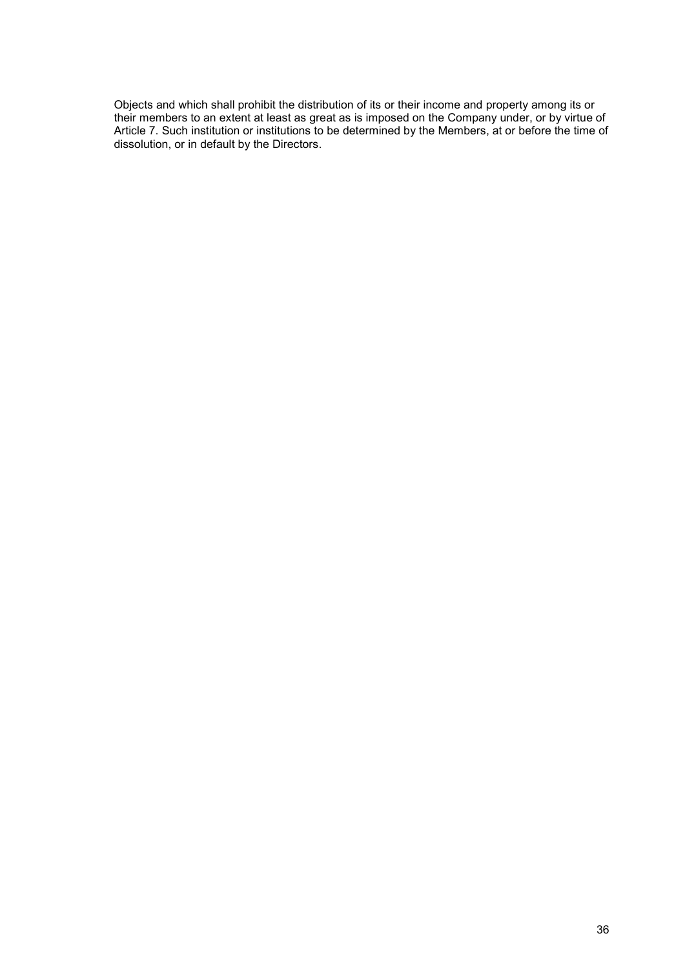Objects and which shall prohibit the distribution of its or their income and property among its or their members to an extent at least as great as is imposed on the Company under, or by virtue of Article 7. Such institution or institutions to be determined by the Members, at or before the time of dissolution, or in default by the Directors.